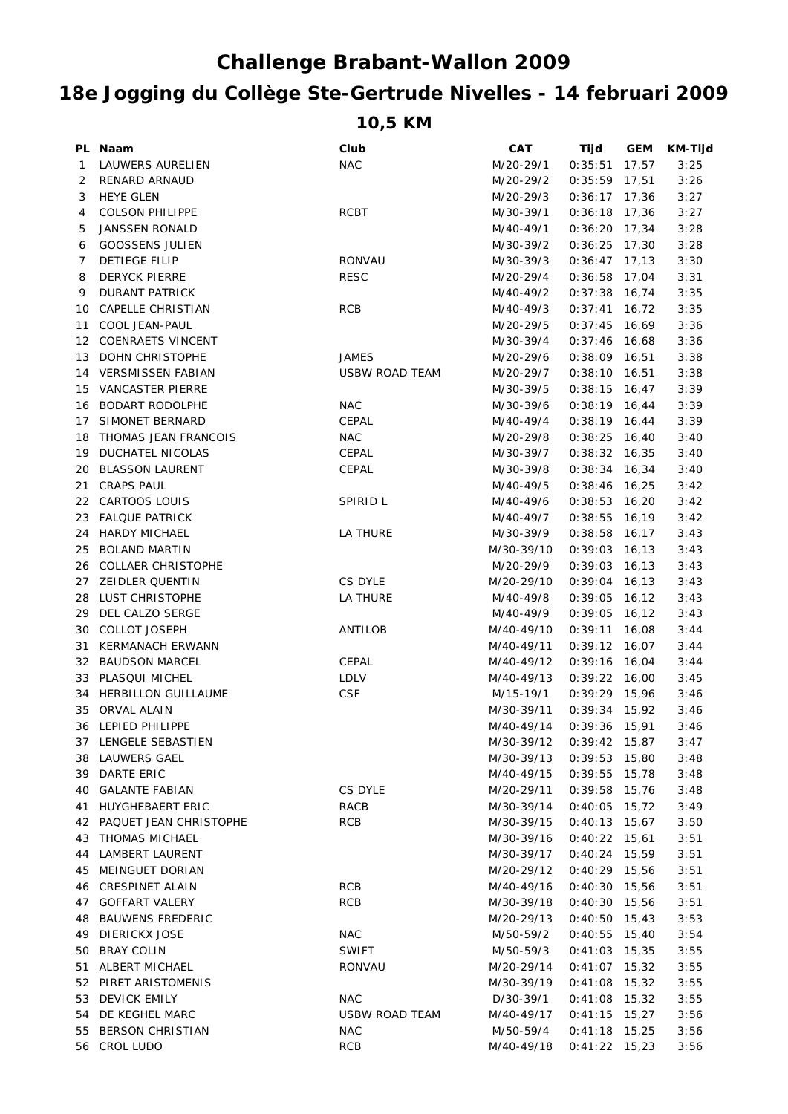## **Challenge Brabant-Wallon 2009**

## **18e Jogging du Collège Ste-Gertrude Nivelles - 14 februari 2009**

**10,5 KM**

|    | PL Naam                   | Club                  | <b>CAT</b> | Tijd            | <b>GEM</b> | KM-Tijd |
|----|---------------------------|-----------------------|------------|-----------------|------------|---------|
| 1  | LAUWERS AURELIEN          | <b>NAC</b>            | M/20-29/1  | 0:35:51         | 17,57      | 3:25    |
| 2  | <b>RENARD ARNAUD</b>      |                       | M/20-29/2  | $0:35:59$ 17,51 |            | 3:26    |
| 3  | <b>HEYE GLEN</b>          |                       | M/20-29/3  | $0:36:17$ 17,36 |            | 3:27    |
| 4  | <b>COLSON PHILIPPE</b>    | RCBT                  | M/30-39/1  | $0:36:18$ 17,36 |            | 3:27    |
| 5  | <b>JANSSEN RONALD</b>     |                       | M/40-49/1  | $0:36:20$ 17,34 |            | 3:28    |
| 6  | <b>GOOSSENS JULIEN</b>    |                       | M/30-39/2  | 0:36:25         | 17,30      | 3:28    |
| 7  | <b>DETIEGE FILIP</b>      | RONVAU                | M/30-39/3  | $0:36:47$ 17,13 |            | 3:30    |
| 8  | <b>DERYCK PIERRE</b>      | <b>RESC</b>           | M/20-29/4  | $0:36:58$ 17,04 |            | 3:31    |
| 9  | <b>DURANT PATRICK</b>     |                       | M/40-49/2  | $0:37:38$ 16,74 |            | 3:35    |
| 10 | CAPELLE CHRISTIAN         | <b>RCB</b>            | M/40-49/3  | 0:37:41         | 16,72      | 3:35    |
| 11 | COOL JEAN-PAUL            |                       | M/20-29/5  | $0:37:45$ 16,69 |            | 3:36    |
| 12 | <b>COENRAETS VINCENT</b>  |                       | M/30-39/4  | $0:37:46$ 16,68 |            | 3:36    |
| 13 | DOHN CHRISTOPHE           | <b>JAMES</b>          | M/20-29/6  | $0:38:09$ 16,51 |            | 3:38    |
|    | 14 VERSMISSEN FABIAN      | <b>USBW ROAD TEAM</b> | M/20-29/7  | $0:38:10$ 16,51 |            | 3:38    |
| 15 | <b>VANCASTER PIERRE</b>   |                       | M/30-39/5  | $0:38:15$ 16,47 |            | 3:39    |
|    | 16 BODART RODOLPHE        | <b>NAC</b>            | M/30-39/6  | $0:38:19$ 16,44 |            | 3:39    |
| 17 | SIMONET BERNARD           | CEPAL                 | M/40-49/4  | $0:38:19$ 16,44 |            | 3:39    |
| 18 | THOMAS JEAN FRANCOIS      | <b>NAC</b>            | M/20-29/8  | 0:38:25         | 16,40      | 3:40    |
| 19 | DUCHATEL NICOLAS          | CEPAL                 | M/30-39/7  | $0:38:32$ 16,35 |            | 3:40    |
| 20 | <b>BLASSON LAURENT</b>    | CEPAL                 | M/30-39/8  | $0:38:34$ 16,34 |            | 3:40    |
| 21 | <b>CRAPS PAUL</b>         |                       | M/40-49/5  | 0:38:46         | 16,25      | 3:42    |
|    | 22 CARTOOS LOUIS          | SPIRID L              | M/40-49/6  | 0:38:53         | 16,20      | 3:42    |
|    | 23 FALQUE PATRICK         |                       | M/40-49/7  | 0:38:55         | 16,19      | 3:42    |
|    | 24 HARDY MICHAEL          | <b>LA THURE</b>       | M/30-39/9  | $0:38:58$ 16,17 |            | 3:43    |
| 25 | <b>BOLAND MARTIN</b>      |                       | M/30-39/10 | $0:39:03$ 16,13 |            | 3:43    |
| 26 | COLLAER CHRISTOPHE        |                       | M/20-29/9  | $0:39:03$ 16,13 |            | 3:43    |
|    | 27 ZEIDLER QUENTIN        | CS DYLE               | M/20-29/10 | 0:39:04         | 16,13      | 3:43    |
| 28 | LUST CHRISTOPHE           | LA THURE              | M/40-49/8  | 0:39:05         | 16,12      | 3:43    |
| 29 | DEL CALZO SERGE           |                       | M/40-49/9  | 0:39:05         | 16,12      | 3:43    |
| 30 | <b>COLLOT JOSEPH</b>      | ANTILOB               | M/40-49/10 | 0:39:11         | 16,08      | 3:44    |
| 31 | <b>KERMANACH ERWANN</b>   |                       | M/40-49/11 | $0:39:12$ 16,07 |            | 3:44    |
|    | 32 BAUDSON MARCEL         | CEPAL                 | M/40-49/12 | $0:39:16$ 16,04 |            | 3:44    |
|    | 33 PLASQUI MICHEL         | LDLV                  | M/40-49/13 | $0:39:22$ 16,00 |            | 3:45    |
|    | 34 HERBILLON GUILLAUME    | <b>CSF</b>            | M/15-19/1  | $0:39:29$ 15,96 |            | 3:46    |
| 35 | ORVAL ALAIN               |                       | M/30-39/11 | $0:39:34$ 15,92 |            | 3:46    |
|    | 36 LEPIED PHILIPPE        |                       | M/40-49/14 | $0:39:36$ 15,91 |            | 3:46    |
| 37 | LENGELE SEBASTIEN         |                       | M/30-39/12 | $0:39:42$ 15,87 |            | 3:47    |
|    | 38 LAUWERS GAEL           |                       | M/30-39/13 | $0:39:53$ 15,80 |            | 3:48    |
| 39 | DARTE ERIC                |                       | M/40-49/15 | 0:39:55         | 15,78      | 3:48    |
| 40 | <b>GALANTE FABIAN</b>     | CS DYLE               | M/20-29/11 | $0:39:58$ 15,76 |            | 3:48    |
| 41 | HUYGHEBAERT ERIC          | RACB                  | M/30-39/14 | 0:40:05         | 15,72      | 3:49    |
|    | 42 PAQUET JEAN CHRISTOPHE | RCB                   | M/30-39/15 | 0:40:13         | 15,67      | 3:50    |
|    | 43 THOMAS MICHAEL         |                       | M/30-39/16 | $0:40:22$ 15,61 |            | 3:51    |
| 44 | <b>LAMBERT LAURENT</b>    |                       | M/30-39/17 | $0:40:24$ 15,59 |            | 3:51    |
| 45 | MEINGUET DORIAN           |                       | M/20-29/12 | $0:40:29$ 15,56 |            | 3:51    |
|    | 46 CRESPINET ALAIN        | RCB                   | M/40-49/16 | $0:40:30$ 15,56 |            | 3:51    |
| 47 | <b>GOFFART VALERY</b>     | <b>RCB</b>            | M/30-39/18 | $0:40:30$ 15,56 |            | 3:51    |
| 48 | <b>BAUWENS FREDERIC</b>   |                       | M/20-29/13 | $0:40:50$ 15,43 |            | 3:53    |
|    | 49 DIERICKX JOSE          | <b>NAC</b>            | M/50-59/2  | $0:40:55$ 15,40 |            | 3:54    |
| 50 | <b>BRAY COLIN</b>         | <b>SWIFT</b>          | M/50-59/3  | $0:41:03$ 15,35 |            | 3:55    |
| 51 | ALBERT MICHAEL            | RONVAU                | M/20-29/14 | $0:41:07$ 15,32 |            | 3:55    |
|    | 52 PIRET ARISTOMENIS      |                       | M/30-39/19 | $0:41:08$ 15,32 |            | 3:55    |
|    | 53 DEVICK EMILY           | <b>NAC</b>            | D/30-39/1  | $0:41:08$ 15,32 |            | 3:55    |
|    | 54 DE KEGHEL MARC         | <b>USBW ROAD TEAM</b> | M/40-49/17 | $0:41:15$ 15,27 |            | 3:56    |
| 55 | <b>BERSON CHRISTIAN</b>   | <b>NAC</b>            | M/50-59/4  | $0:41:18$ 15,25 |            | 3:56    |
|    | 56 CROL LUDO              | <b>RCB</b>            | M/40-49/18 | $0:41:22$ 15,23 |            | 3:56    |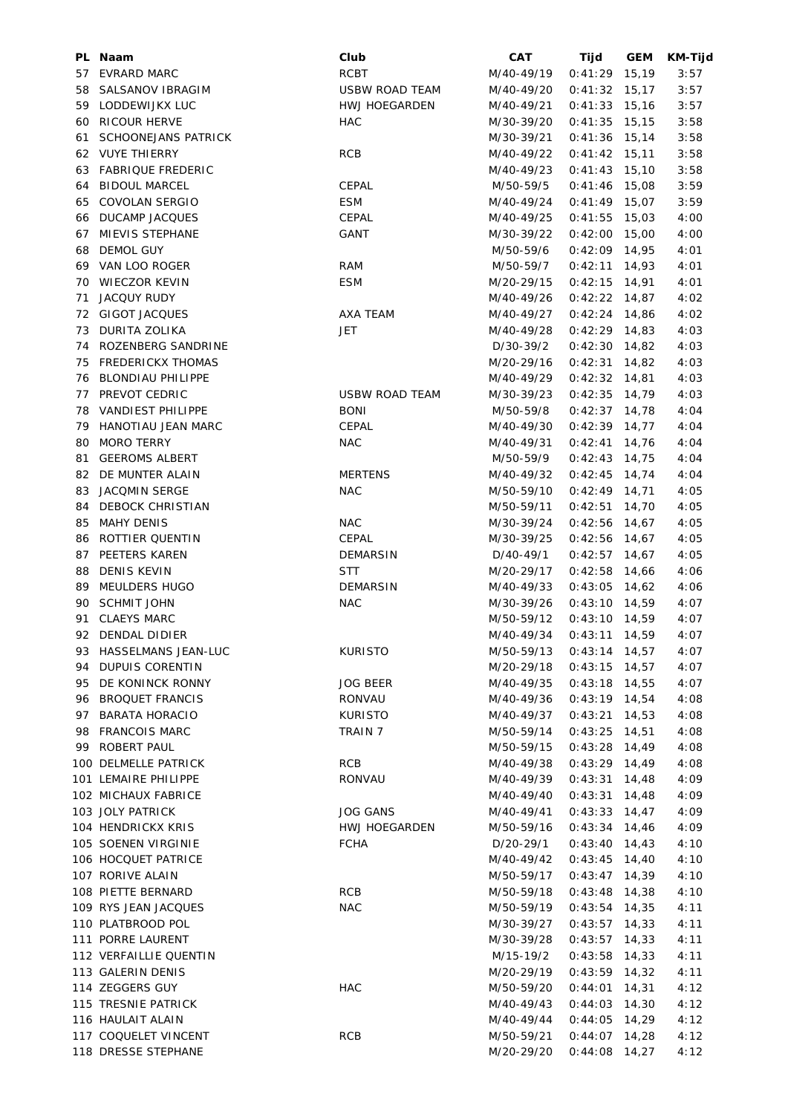|    | PL Naam                    | Club                  | CAT        | Tijd            | <b>GEM</b> | KM-Tijd |
|----|----------------------------|-----------------------|------------|-----------------|------------|---------|
|    | 57 EVRARD MARC             | RCBT                  | M/40-49/19 | $0:41:29$ 15,19 |            | 3:57    |
|    | 58 SALSANOV IBRAGIM        | <b>USBW ROAD TEAM</b> | M/40-49/20 | $0:41:32$ 15,17 |            | 3:57    |
|    | 59 LODDEWIJKX LUC          | HWJ HOEGARDEN         | M/40-49/21 | $0:41:33$ 15,16 |            | 3:57    |
|    | 60 RICOUR HERVE            | HAC                   | M/30-39/20 | $0:41:35$ 15,15 |            | 3:58    |
| 61 | <b>SCHOONEJANS PATRICK</b> |                       | M/30-39/21 | $0:41:36$ 15,14 |            | 3:58    |
|    | 62 VUYE THIERRY            | <b>RCB</b>            | M/40-49/22 | $0:41:42$ 15,11 |            | 3:58    |
|    | 63 FABRIQUE FREDERIC       |                       | M/40-49/23 | $0:41:43$ 15,10 |            | 3:58    |
| 64 | <b>BIDOUL MARCEL</b>       | <b>CEPAL</b>          | M/50-59/5  | $0:41:46$ 15,08 |            | 3:59    |
| 65 | COVOLAN SERGIO             | <b>ESM</b>            | M/40-49/24 | $0:41:49$ 15,07 |            | 3:59    |
| 66 | <b>DUCAMP JACQUES</b>      | CEPAL                 | M/40-49/25 | $0:41:55$ 15,03 |            | 4:00    |
| 67 | MIEVIS STEPHANE            | GANT                  | M/30-39/22 | $0:42:00$ 15,00 |            | 4:00    |
| 68 | <b>DEMOL GUY</b>           |                       | M/50-59/6  | $0:42:09$ 14,95 |            | 4:01    |
|    | 69 VAN LOO ROGER           | <b>RAM</b>            | M/50-59/7  | 0:42:11         | 14,93      | 4:01    |
| 70 | <b>WIECZOR KEVIN</b>       | <b>ESM</b>            | M/20-29/15 | 0:42:15         | 14,91      | 4:01    |
| 71 | <b>JACQUY RUDY</b>         |                       | M/40-49/26 | $0:42:22$ 14,87 |            | 4:02    |
| 72 | <b>GIGOT JACQUES</b>       | AXA TEAM              | M/40-49/27 | 0:42:24         | 14,86      | 4:02    |
| 73 | DURITA ZOLIKA              | <b>JET</b>            | M/40-49/28 | $0:42:29$ 14,83 |            | 4:03    |
| 74 | ROZENBERG SANDRINE         |                       | D/30-39/2  | $0:42:30$ 14,82 |            | 4:03    |
| 75 | <b>FREDERICKX THOMAS</b>   |                       | M/20-29/16 | 0:42:31         | 14,82      | 4:03    |
| 76 | <b>BLONDIAU PHILIPPE</b>   |                       | M/40-49/29 | $0:42:32$ 14,81 |            | 4:03    |
| 77 | PREVOT CEDRIC              | USBW ROAD TEAM        | M/30-39/23 | $0:42:35$ 14,79 |            | 4:03    |
| 78 | <b>VANDIEST PHILIPPE</b>   | <b>BONI</b>           | M/50-59/8  | $0:42:37$ 14,78 |            | 4:04    |
| 79 | HANOTIAU JEAN MARC         | CEPAL                 | M/40-49/30 | $0:42:39$ 14,77 |            | 4:04    |
| 80 | <b>MORO TERRY</b>          | <b>NAC</b>            | M/40-49/31 | 0:42:41         | 14,76      | 4:04    |
| 81 | <b>GEEROMS ALBERT</b>      |                       | M/50-59/9  | $0:42:43$ 14,75 |            | 4:04    |
| 82 | DE MUNTER ALAIN            | <b>MERTENS</b>        | M/40-49/32 | $0:42:45$ 14,74 |            | 4:04    |
| 83 | <b>JACQMIN SERGE</b>       | <b>NAC</b>            | M/50-59/10 | $0:42:49$ 14,71 |            | 4:05    |
| 84 | <b>DEBOCK CHRISTIAN</b>    |                       | M/50-59/11 | 0:42:51         | 14,70      | 4:05    |
| 85 | <b>MAHY DENIS</b>          | <b>NAC</b>            | M/30-39/24 | 0:42:56         | 14,67      | 4:05    |
| 86 | ROTTIER QUENTIN            | CEPAL                 | M/30-39/25 | $0:42:56$ 14,67 |            | 4:05    |
| 87 | PEETERS KAREN              | <b>DEMARSIN</b>       | D/40-49/1  | $0:42:57$ 14,67 |            | 4:05    |
| 88 | <b>DENIS KEVIN</b>         | STT                   | M/20-29/17 | $0:42:58$ 14,66 |            | 4:06    |
| 89 | MEULDERS HUGO              | <b>DEMARSIN</b>       | M/40-49/33 | $0:43:05$ 14,62 |            | 4:06    |
| 90 | <b>SCHMIT JOHN</b>         | <b>NAC</b>            | M/30-39/26 | $0:43:10$ 14,59 |            | 4:07    |
| 91 | <b>CLAEYS MARC</b>         |                       | M/50-59/12 | $0:43:10$ 14,59 |            | 4:07    |
|    | 92 DENDAL DIDIER           |                       | M/40-49/34 | $0:43:11$ 14,59 |            | 4:07    |
|    | 93 HASSELMANS JEAN-LUC     | <b>KURISTO</b>        | M/50-59/13 | $0:43:14$ 14,57 |            | 4:07    |
|    | 94 DUPUIS CORENTIN         |                       | M/20-29/18 | $0:43:15$ 14,57 |            | 4:07    |
| 95 | DE KONINCK RONNY           | <b>JOG BEER</b>       | M/40-49/35 | $0:43:18$ 14,55 |            | 4:07    |
| 96 | <b>BROQUET FRANCIS</b>     | RONVAU                | M/40-49/36 | $0:43:19$ 14,54 |            | 4:08    |
| 97 | <b>BARATA HORACIO</b>      | KURISTO               | M/40-49/37 | 0:43:21         | 14,53      | 4:08    |
|    | 98 FRANCOIS MARC           | TRAIN 7               | M/50-59/14 | $0:43:25$ 14,51 |            | 4:08    |
|    | 99 ROBERT PAUL             |                       | M/50-59/15 | $0:43:28$ 14,49 |            | 4:08    |
|    | 100 DELMELLE PATRICK       | RCB                   | M/40-49/38 | $0:43:29$ 14,49 |            | 4:08    |
|    | 101 LEMAIRE PHILIPPE       | RONVAU                | M/40-49/39 | $0:43:31$ 14,48 |            | 4:09    |
|    | 102 MICHAUX FABRICE        |                       | M/40-49/40 | $0:43:31$ 14,48 |            | 4:09    |
|    | 103 JOLY PATRICK           | <b>JOG GANS</b>       | M/40-49/41 | $0:43:33$ 14,47 |            | 4:09    |
|    | 104 HENDRICKX KRIS         | HWJ HOEGARDEN         | M/50-59/16 | $0:43:34$ 14,46 |            | 4:09    |
|    | 105 SOENEN VIRGINIE        | <b>FCHA</b>           | D/20-29/1  | $0:43:40$ 14,43 |            | 4:10    |
|    | 106 HOCQUET PATRICE        |                       | M/40-49/42 | $0:43:45$ 14,40 |            | 4:10    |
|    | 107 RORIVE ALAIN           |                       | M/50-59/17 | $0:43:47$ 14,39 |            | 4:10    |
|    | 108 PIETTE BERNARD         | <b>RCB</b>            | M/50-59/18 | $0:43:48$ 14,38 |            | 4:10    |
|    | 109 RYS JEAN JACQUES       | <b>NAC</b>            | M/50-59/19 | $0:43:54$ 14,35 |            | 4:11    |
|    | 110 PLATBROOD POL          |                       | M/30-39/27 | $0:43:57$ 14,33 |            | 4:11    |
|    | 111 PORRE LAURENT          |                       | M/30-39/28 | $0:43:57$ 14,33 |            | 4:11    |
|    | 112 VERFAILLIE QUENTIN     |                       | M/15-19/2  | $0:43:58$ 14,33 |            | 4:11    |
|    | 113 GALERIN DENIS          |                       | M/20-29/19 | $0:43:59$ 14,32 |            | 4:11    |
|    | 114 ZEGGERS GUY            | <b>HAC</b>            | M/50-59/20 | $0:44:01$ 14,31 |            | 4:12    |
|    | 115 TRESNIE PATRICK        |                       | M/40-49/43 | $0:44:03$ 14,30 |            | 4:12    |
|    | 116 HAULAIT ALAIN          |                       | M/40-49/44 | $0:44:05$ 14,29 |            | 4:12    |
|    | 117 COQUELET VINCENT       | <b>RCB</b>            | M/50-59/21 | $0:44:07$ 14,28 |            | 4:12    |
|    | 118 DRESSE STEPHANE        |                       | M/20-29/20 | $0:44:08$ 14,27 |            | 4:12    |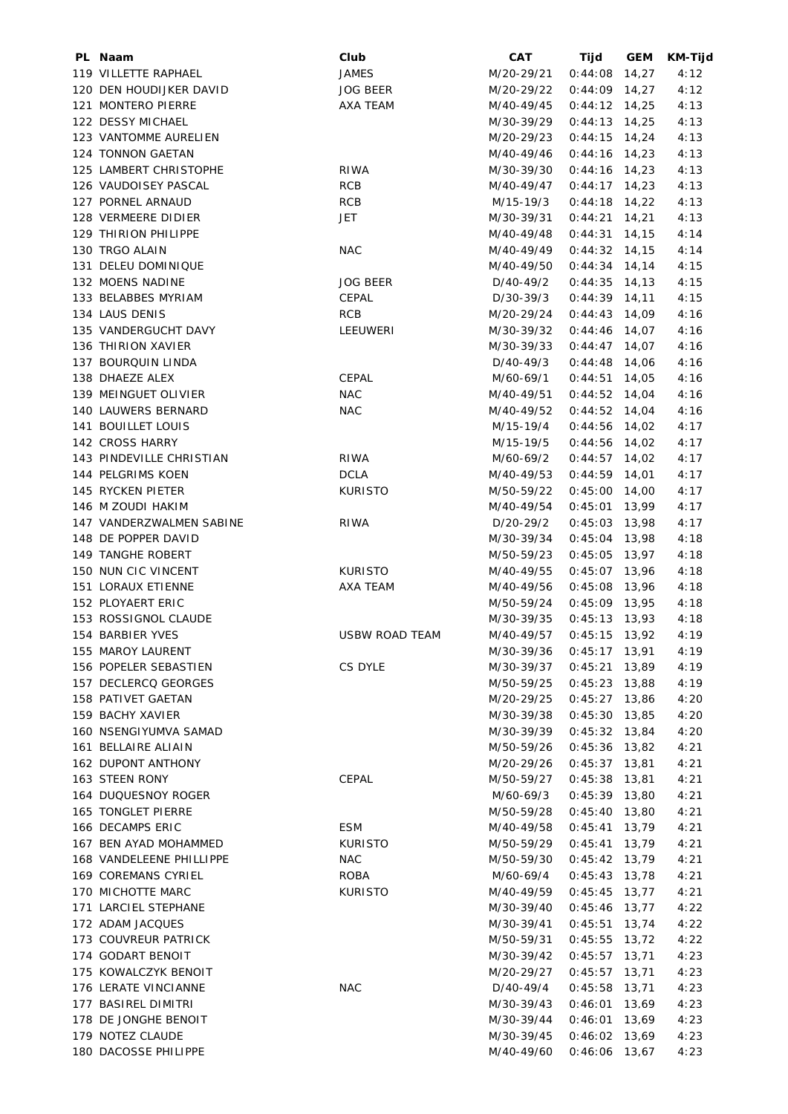| PL Naam                  | Club                  | CAT        | Tijd                               | <b>GEM</b> | KM-Tijd |
|--------------------------|-----------------------|------------|------------------------------------|------------|---------|
| 119 VILLETTE RAPHAEL     | <b>JAMES</b>          | M/20-29/21 | 0:44:08                            | 14,27      | 4:12    |
| 120 DEN HOUDIJKER DAVID  | <b>JOG BEER</b>       | M/20-29/22 | $0:44:09$ 14,27                    |            | 4:12    |
| 121 MONTERO PIERRE       | AXA TEAM              | M/40-49/45 | $0:44:12$ 14,25                    |            | 4:13    |
| 122 DESSY MICHAEL        |                       | M/30-39/29 | $0:44:13$ 14,25                    |            | 4:13    |
| 123 VANTOMME AURELIEN    |                       | M/20-29/23 | 0:44:15                            | 14,24      | 4:13    |
| 124 TONNON GAETAN        |                       | M/40-49/46 | $0:44:16$ 14,23                    |            | 4:13    |
| 125 LAMBERT CHRISTOPHE   | RIWA                  | M/30-39/30 | $0:44:16$ 14,23                    |            | 4:13    |
| 126 VAUDOISEY PASCAL     | <b>RCB</b>            | M/40-49/47 | $0:44:17$ 14,23                    |            | 4:13    |
| 127 PORNEL ARNAUD        | <b>RCB</b>            | M/15-19/3  | $0:44:18$ 14,22                    |            | 4:13    |
| 128 VERMEERE DIDIER      | JET                   | M/30-39/31 | 0:44:21                            | 14,21      | 4:13    |
| 129 THIRION PHILIPPE     |                       | M/40-49/48 | $0:44:31$ 14,15                    |            | 4:14    |
| 130 TRGO ALAIN           | <b>NAC</b>            | M/40-49/49 | $0:44:32$ 14,15                    |            | 4:14    |
| 131 DELEU DOMINIQUE      |                       | M/40-49/50 | $0:44:34$ 14,14                    |            | 4:15    |
| 132 MOENS NADINE         | <b>JOG BEER</b>       | D/40-49/2  | $0:44:35$ 14,13                    |            | 4:15    |
| 133 BELABBES MYRIAM      | CEPAL                 | D/30-39/3  | $0:44:39$ 14,11                    |            | 4:15    |
| 134 LAUS DENIS           | <b>RCB</b>            | M/20-29/24 | $0:44:43$ 14,09                    |            | 4:16    |
| 135 VANDERGUCHT DAVY     | LEEUWERI              | M/30-39/32 | $0:44:46$ 14,07                    |            | 4:16    |
| 136 THIRION XAVIER       |                       | M/30-39/33 | $0:44:47$ 14,07                    |            | 4:16    |
| 137 BOURQUIN LINDA       |                       | D/40-49/3  | $0:44:48$ 14,06                    |            | 4:16    |
| 138 DHAEZE ALEX          | <b>CEPAL</b>          | M/60-69/1  | $0:44:51$ 14,05                    |            | 4:16    |
| 139 MEINGUET OLIVIER     | <b>NAC</b>            | M/40-49/51 | $0:44:52$ 14,04                    |            | 4:16    |
| 140 LAUWERS BERNARD      | <b>NAC</b>            | M/40-49/52 | $0:44:52$ 14,04                    |            | 4:16    |
| 141 BOUILLET LOUIS       |                       | M/15-19/4  | $0:44:56$ 14,02                    |            | 4:17    |
| 142 CROSS HARRY          |                       | M/15-19/5  | $0:44:56$ 14,02                    |            | 4:17    |
| 143 PINDEVILLE CHRISTIAN | <b>RIWA</b>           | M/60-69/2  | $0:44:57$ 14,02                    |            | 4:17    |
| 144 PELGRIMS KOEN        | <b>DCLA</b>           | M/40-49/53 | $0:44:59$ 14,01                    |            | 4:17    |
| 145 RYCKEN PIETER        | <b>KURISTO</b>        | M/50-59/22 | $0:45:00$ 14,00                    |            | 4:17    |
| 146 M ZOUDI HAKIM        |                       | M/40-49/54 | $0:45:01$ 13,99                    |            | 4:17    |
| 147 VANDERZWALMEN SABINE | <b>RIWA</b>           | D/20-29/2  | $0:45:03$ 13,98                    |            | 4:17    |
| 148 DE POPPER DAVID      |                       | M/30-39/34 | $0:45:04$ 13,98                    |            | 4:18    |
| 149 TANGHE ROBERT        |                       |            | $0:45:05$ 13,97                    |            |         |
| 150 NUN CIC VINCENT      | <b>KURISTO</b>        | M/50-59/23 |                                    |            | 4:18    |
| 151 LORAUX ETIENNE       | AXA TEAM              | M/40-49/55 | $0:45:07$ 13,96<br>$0:45:08$ 13,96 |            | 4:18    |
|                          |                       | M/40-49/56 |                                    |            | 4:18    |
| 152 PLOYAERT ERIC        |                       | M/50-59/24 | $0:45:09$ 13,95                    |            | 4:18    |
| 153 ROSSIGNOL CLAUDE     |                       | M/30-39/35 | $0:45:13$ 13,93                    |            | 4:18    |
| 154 BARBIER YVES         | <b>USBW ROAD TEAM</b> | M/40-49/57 | $0:45:15$ 13,92                    |            | 4:19    |
| 155 MAROY LAURENT        |                       | M/30-39/36 | $0:45:17$ 13,91                    |            | 4:19    |
| 156 POPELER SEBASTIEN    | CS DYLE               | M/30-39/37 | $0:45:21$ 13,89                    |            | 4:19    |
| 157 DECLERCQ GEORGES     |                       | M/50-59/25 | $0:45:23$ 13,88                    |            | 4:19    |
| 158 PATIVET GAETAN       |                       | M/20-29/25 | $0:45:27$ 13,86                    |            | 4:20    |
| 159 BACHY XAVIER         |                       | M/30-39/38 | $0:45:30$ 13,85                    |            | 4:20    |
| 160 NSENGIYUMVA SAMAD    |                       | M/30-39/39 | $0:45:32$ 13,84                    |            | 4:20    |
| 161 BELLAIRE ALIAIN      |                       | M/50-59/26 | $0:45:36$ 13,82                    |            | 4:21    |
| 162 DUPONT ANTHONY       |                       | M/20-29/26 | $0:45:37$ 13,81                    |            | 4:21    |
| 163 STEEN RONY           | CEPAL                 | M/50-59/27 | $0:45:38$ 13,81                    |            | 4:21    |
| 164 DUQUESNOY ROGER      |                       | M/60-69/3  | $0:45:39$ 13,80                    |            | 4:21    |
| 165 TONGLET PIERRE       |                       | M/50-59/28 | $0:45:40$ 13,80                    |            | 4:21    |
| 166 DECAMPS ERIC         | <b>ESM</b>            | M/40-49/58 | 0:45:41                            | 13,79      | 4:21    |
| 167 BEN AYAD MOHAMMED    | <b>KURISTO</b>        | M/50-59/29 | 0:45:41                            | 13,79      | 4:21    |
| 168 VANDELEENE PHILLIPPE | <b>NAC</b>            | M/50-59/30 | $0:45:42$ 13,79                    |            | 4:21    |
| 169 COREMANS CYRIEL      | <b>ROBA</b>           | M/60-69/4  | $0:45:43$ 13,78                    |            | 4:21    |
| 170 MICHOTTE MARC        | <b>KURISTO</b>        | M/40-49/59 | 0:45:45                            | 13,77      | 4:21    |
| 171 LARCIEL STEPHANE     |                       | M/30-39/40 | 0:45:46                            | 13,77      | 4:22    |
| 172 ADAM JACQUES         |                       | M/30-39/41 | 0:45:51                            | 13,74      | 4:22    |
| 173 COUVREUR PATRICK     |                       | M/50-59/31 | 0:45:55                            | 13,72      | 4:22    |
| 174 GODART BENOIT        |                       | M/30-39/42 | $0:45:57$ 13,71                    |            | 4:23    |
| 175 KOWALCZYK BENOIT     |                       | M/20-29/27 | $0:45:57$ 13,71                    |            | 4:23    |
| 176 LERATE VINCIANNE     | <b>NAC</b>            | D/40-49/4  | 0:45:58                            | 13,71      | 4:23    |
| 177 BASIREL DIMITRI      |                       | M/30-39/43 | 0:46:01                            | 13,69      | 4:23    |
| 178 DE JONGHE BENOIT     |                       | M/30-39/44 | 0:46:01                            | 13,69      | 4:23    |
| 179 NOTEZ CLAUDE         |                       | M/30-39/45 | $0:46:02$ 13,69                    |            | 4:23    |
| 180 DACOSSE PHILIPPE     |                       | M/40-49/60 | $0:46:06$ 13,67                    |            | 4:23    |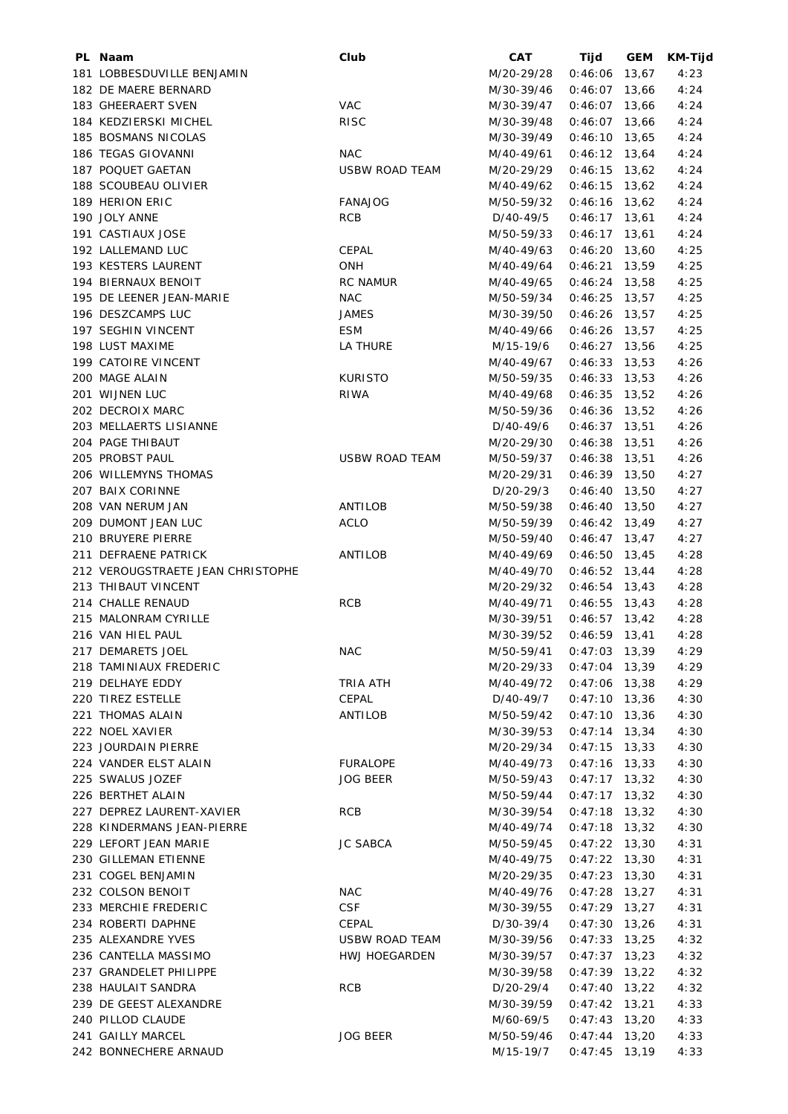| PL Naam                           | Club                  | CAT        | Tijd            | <b>GEM</b> | KM-Tijd |
|-----------------------------------|-----------------------|------------|-----------------|------------|---------|
| 181 LOBBESDUVILLE BENJAMIN        |                       | M/20-29/28 | 0:46:06         | 13,67      | 4:23    |
| 182 DE MAERE BERNARD              |                       | M/30-39/46 | 0:46:07         | 13,66      | 4:24    |
| 183 GHEERAERT SVEN                | <b>VAC</b>            | M/30-39/47 | $0:46:07$ 13,66 |            | 4:24    |
| 184 KEDZIERSKI MICHEL             | <b>RISC</b>           | M/30-39/48 | $0:46:07$ 13,66 |            | 4:24    |
| 185 BOSMANS NICOLAS               |                       | M/30-39/49 | $0:46:10$ 13,65 |            | 4:24    |
| 186 TEGAS GIOVANNI                | <b>NAC</b>            | M/40-49/61 | $0:46:12$ 13,64 |            | 4:24    |
| 187 POQUET GAETAN                 | <b>USBW ROAD TEAM</b> | M/20-29/29 | 0:46:15         | 13,62      | 4:24    |
| 188 SCOUBEAU OLIVIER              |                       | M/40-49/62 | 0:46:15         | 13,62      | 4:24    |
| 189 HERION ERIC                   | FANAJOG               | M/50-59/32 | 0:46:16         | 13,62      | 4:24    |
| 190 JOLY ANNE                     | <b>RCB</b>            | D/40-49/5  | $0:46:17$ 13,61 |            | 4:24    |
| 191 CASTIAUX JOSE                 |                       | M/50-59/33 | $0:46:17$ 13,61 |            | 4:24    |
| 192 LALLEMAND LUC                 | <b>CEPAL</b>          | M/40-49/63 | $0:46:20$ 13,60 |            | 4:25    |
| 193 KESTERS LAURENT               | <b>ONH</b>            | M/40-49/64 | 0:46:21         | 13,59      | 4:25    |
| 194 BIERNAUX BENOIT               | <b>RC NAMUR</b>       | M/40-49/65 | $0:46:24$ 13,58 |            | 4:25    |
| 195 DE LEENER JEAN-MARIE          | <b>NAC</b>            | M/50-59/34 | 0:46:25         | 13,57      | 4:25    |
| 196 DESZCAMPS LUC                 | JAMES                 | M/30-39/50 | 0:46:26         | 13,57      | 4:25    |
| 197 SEGHIN VINCENT                | <b>ESM</b>            | M/40-49/66 | 0:46:26         | 13,57      | 4:25    |
| 198 LUST MAXIME                   | LA THURE              | M/15-19/6  | $0:46:27$ 13,56 |            | 4:25    |
| 199 CATOIRE VINCENT               |                       | M/40-49/67 | $0:46:33$ 13,53 |            | 4:26    |
| 200 MAGE ALAIN                    | <b>KURISTO</b>        | M/50-59/35 | $0:46:33$ 13,53 |            | 4:26    |
| 201 WIJNEN LUC                    | RIWA                  | M/40-49/68 | $0:46:35$ 13,52 |            | 4:26    |
| 202 DECROIX MARC                  |                       | M/50-59/36 | $0:46:36$ 13,52 |            | 4:26    |
| 203 MELLAERTS LISIANNE            |                       | D/40-49/6  | $0:46:37$ 13,51 |            | 4:26    |
| 204 PAGE THIBAUT                  |                       | M/20-29/30 | $0:46:38$ 13,51 |            | 4:26    |
| 205 PROBST PAUL                   | <b>USBW ROAD TEAM</b> | M/50-59/37 | $0:46:38$ 13,51 |            | 4:26    |
| 206 WILLEMYNS THOMAS              |                       | M/20-29/31 | $0:46:39$ 13,50 |            | 4:27    |
| 207 BAIX CORINNE                  |                       | D/20-29/3  | $0:46:40$ 13,50 |            | 4:27    |
| 208 VAN NERUM JAN                 | ANTILOB               | M/50-59/38 | $0:46:40$ 13,50 |            | 4:27    |
| 209 DUMONT JEAN LUC               | <b>ACLO</b>           | M/50-59/39 | $0:46:42$ 13,49 |            | 4:27    |
| 210 BRUYERE PIERRE                |                       | M/50-59/40 | $0:46:47$ 13,47 |            | 4:27    |
|                                   |                       |            |                 |            |         |
| 211 DEFRAENE PATRICK              | ANTILOB               | M/40-49/69 | $0:46:50$ 13,45 |            | 4:28    |
| 212 VEROUGSTRAETE JEAN CHRISTOPHE |                       | M/40-49/70 | $0:46:52$ 13,44 |            | 4:28    |
| 213 THIBAUT VINCENT               |                       | M/20-29/32 | $0:46:54$ 13,43 |            | 4:28    |
| 214 CHALLE RENAUD                 | <b>RCB</b>            | M/40-49/71 | $0:46:55$ 13,43 |            | 4:28    |
| 215 MALONRAM CYRILLE              |                       | M/30-39/51 | $0:46:57$ 13,42 |            | 4:28    |
| 216 VAN HIEL PAUL                 |                       | M/30-39/52 | $0:46:59$ 13,41 |            | 4:28    |
| 217 DEMARETS JOEL                 | <b>NAC</b>            | M/50-59/41 | $0:47:03$ 13,39 |            | 4:29    |
| 218 TAMINIAUX FREDERIC            |                       | M/20-29/33 | $0:47:04$ 13,39 |            | 4:29    |
| 219 DELHAYE EDDY                  | TRIA ATH              | M/40-49/72 | $0:47:06$ 13,38 |            | 4:29    |
| 220 TIREZ ESTELLE                 | CEPAL                 | D/40-49/7  | $0:47:10$ 13,36 |            | 4:30    |
| 221 THOMAS ALAIN                  | ANTILOB               | M/50-59/42 | $0:47:10$ 13,36 |            | 4:30    |
| 222 NOEL XAVIER                   |                       | M/30-39/53 | $0:47:14$ 13,34 |            | 4:30    |
| 223 JOURDAIN PIERRE               |                       | M/20-29/34 | $0:47:15$ 13,33 |            | 4:30    |
| 224 VANDER ELST ALAIN             | <b>FURALOPE</b>       | M/40-49/73 | $0:47:16$ 13,33 |            | 4:30    |
| 225 SWALUS JOZEF                  | <b>JOG BEER</b>       | M/50-59/43 | $0:47:17$ 13,32 |            | 4:30    |
| 226 BERTHET ALAIN                 |                       | M/50-59/44 | $0:47:17$ 13,32 |            | 4:30    |
| 227 DEPREZ LAURENT-XAVIER         | <b>RCB</b>            | M/30-39/54 | $0:47:18$ 13,32 |            | 4:30    |
| 228 KINDERMANS JEAN-PIERRE        |                       | M/40-49/74 | $0:47:18$ 13,32 |            | 4:30    |
| 229 LEFORT JEAN MARIE             | <b>JC SABCA</b>       | M/50-59/45 | $0:47:22$ 13,30 |            | 4:31    |
| 230 GILLEMAN ETIENNE              |                       | M/40-49/75 | $0:47:22$ 13,30 |            | 4:31    |
| 231 COGEL BENJAMIN                |                       | M/20-29/35 | $0:47:23$ 13,30 |            | 4:31    |
| 232 COLSON BENOIT                 | <b>NAC</b>            | M/40-49/76 | $0:47:28$ 13,27 |            | 4:31    |
| 233 MERCHIE FREDERIC              | <b>CSF</b>            | M/30-39/55 | $0:47:29$ 13,27 |            | 4:31    |
| 234 ROBERTI DAPHNE                | CEPAL                 | D/30-39/4  | $0:47:30$ 13,26 |            | 4:31    |
| 235 ALEXANDRE YVES                | <b>USBW ROAD TEAM</b> | M/30-39/56 | $0:47:33$ 13,25 |            | 4:32    |
| 236 CANTELLA MASSIMO              | HWJ HOEGARDEN         | M/30-39/57 | $0:47:37$ 13,23 |            | 4:32    |
| 237 GRANDELET PHILIPPE            |                       | M/30-39/58 | $0:47:39$ 13,22 |            | 4:32    |
| 238 HAULAIT SANDRA                | <b>RCB</b>            | D/20-29/4  | $0:47:40$ 13,22 |            | 4:32    |
| 239 DE GEEST ALEXANDRE            |                       | M/30-39/59 | $0:47:42$ 13,21 |            | 4:33    |
| 240 PILLOD CLAUDE                 |                       | M/60-69/5  | $0:47:43$ 13,20 |            | 4:33    |
| 241 GAILLY MARCEL                 | <b>JOG BEER</b>       | M/50-59/46 | $0:47:44$ 13,20 |            | 4:33    |
| 242 BONNECHERE ARNAUD             |                       | M/15-19/7  | $0:47:45$ 13,19 |            | 4:33    |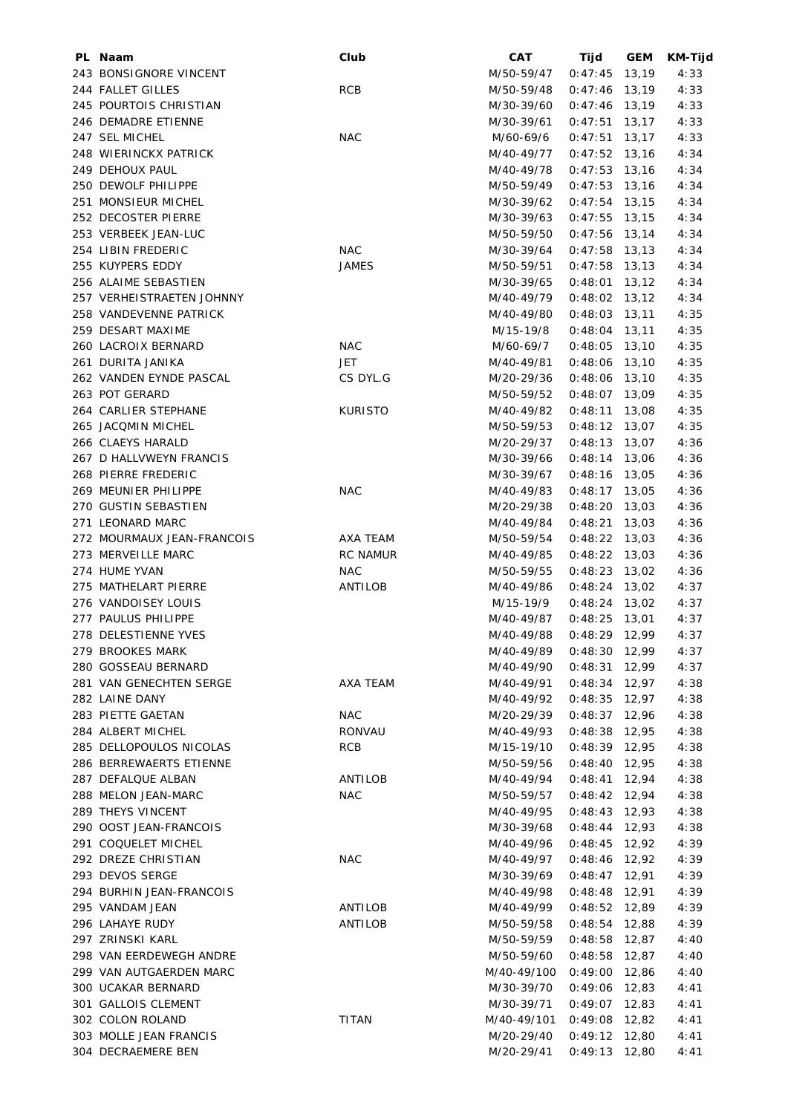| PL Naam                    | Club            | CAT         | Tijd            | <b>GEM</b> | KM-Tijd |
|----------------------------|-----------------|-------------|-----------------|------------|---------|
| 243 BONSIGNORE VINCENT     |                 | M/50-59/47  | 0:47:45         | 13,19      | 4:33    |
| 244 FALLET GILLES          | RCB             | M/50-59/48  | 0:47:46         | 13,19      | 4:33    |
| 245 POURTOIS CHRISTIAN     |                 | M/30-39/60  | $0:47:46$ 13,19 |            | 4:33    |
| 246 DEMADRE ETIENNE        |                 | M/30-39/61  | 0:47:51         | 13,17      | 4:33    |
| 247 SEL MICHEL             | <b>NAC</b>      | M/60-69/6   | 0:47:51         | 13,17      | 4:33    |
| 248 WIERINCKX PATRICK      |                 | M/40-49/77  | 0:47:52         | 13,16      | 4:34    |
| 249 DEHOUX PAUL            |                 | M/40-49/78  | 0:47:53         | 13,16      | 4:34    |
| 250 DEWOLF PHILIPPE        |                 | M/50-59/49  | 0:47:53         | 13,16      | 4:34    |
| 251 MONSIEUR MICHEL        |                 | M/30-39/62  | 0:47:54         | 13,15      | 4:34    |
| 252 DECOSTER PIERRE        |                 | M/30-39/63  | 0:47:55         | 13,15      | 4:34    |
| 253 VERBEEK JEAN-LUC       |                 | M/50-59/50  | 0:47:56         | 13,14      | 4:34    |
| 254 LIBIN FREDERIC         | <b>NAC</b>      | M/30-39/64  | $0:47:58$ 13,13 |            | 4:34    |
| 255 KUYPERS EDDY           | <b>JAMES</b>    | M/50-59/51  | 0:47:58         | 13,13      | 4:34    |
| 256 ALAIME SEBASTIEN       |                 | M/30-39/65  | 0:48:01         | 13,12      | 4:34    |
| 257 VERHEISTRAETEN JOHNNY  |                 | M/40-49/79  | $0:48:02$ 13,12 |            | 4:34    |
| 258 VANDEVENNE PATRICK     |                 | M/40-49/80  | 0:48:03         | 13,11      | 4:35    |
| 259 DESART MAXIME          |                 | M/15-19/8   | 0:48:04         | 13,11      | 4:35    |
| 260 LACROIX BERNARD        | <b>NAC</b>      | M/60-69/7   | 0:48:05         | 13,10      | 4:35    |
| 261 DURITA JANIKA          | <b>JET</b>      | M/40-49/81  | $0:48:06$ 13,10 |            | 4:35    |
| 262 VANDEN EYNDE PASCAL    | CS DYL.G        | M/20-29/36  | $0:48:06$ 13,10 |            | 4:35    |
| 263 POT GERARD             |                 | M/50-59/52  | 0:48:07         | 13,09      | 4:35    |
| 264 CARLIER STEPHANE       | <b>KURISTO</b>  | M/40-49/82  | 0:48:11         | 13,08      | 4:35    |
| 265 JACQMIN MICHEL         |                 | M/50-59/53  | 0:48:12         | 13,07      | 4:35    |
| 266 CLAEYS HARALD          |                 | M/20-29/37  | 0:48:13         | 13,07      | 4:36    |
| 267 D HALLVWEYN FRANCIS    |                 | M/30-39/66  | 0:48:14         | 13,06      | 4:36    |
| 268 PIERRE FREDERIC        |                 | M/30-39/67  | 0:48:16         | 13,05      | 4:36    |
| 269 MEUNIER PHILIPPE       | <b>NAC</b>      | M/40-49/83  | $0:48:17$ 13,05 |            | 4:36    |
| 270 GUSTIN SEBASTIEN       |                 | M/20-29/38  | 0:48:20         | 13,03      | 4:36    |
| 271 LEONARD MARC           |                 | M/40-49/84  | 0:48:21         | 13,03      | 4:36    |
| 272 MOURMAUX JEAN-FRANCOIS | AXA TEAM        | M/50-59/54  | $0:48:22$ 13,03 |            | 4:36    |
| 273 MERVEILLE MARC         | <b>RC NAMUR</b> | M/40-49/85  | $0:48:22$ 13,03 |            | 4:36    |
| 274 HUME YVAN              | <b>NAC</b>      |             |                 |            |         |
|                            | ANTILOB         | M/50-59/55  | $0:48:23$ 13,02 |            | 4:36    |
| 275 MATHELART PIERRE       |                 | M/40-49/86  | $0:48:24$ 13,02 |            | 4:37    |
| 276 VANDOISEY LOUIS        |                 | M/15-19/9   | $0:48:24$ 13,02 |            | 4:37    |
| 277 PAULUS PHILIPPE        |                 | M/40-49/87  | 0:48:25         | 13,01      | 4:37    |
| 278 DELESTIENNE YVES       |                 | M/40-49/88  | $0:48:29$ 12,99 |            | 4:37    |
| 279 BROOKES MARK           |                 | M/40-49/89  | $0:48:30$ 12,99 |            | 4:37    |
| 280 GOSSEAU BERNARD        |                 | M/40-49/90  | $0:48:31$ 12,99 |            | 4:37    |
| 281 VAN GENECHTEN SERGE    | AXA TEAM        | M/40-49/91  | $0:48:34$ 12,97 |            | 4:38    |
| 282 LAINE DANY             |                 | M/40-49/92  | $0:48:35$ 12,97 |            | 4:38    |
| 283 PIETTE GAETAN          | <b>NAC</b>      | M/20-29/39  | $0:48:37$ 12,96 |            | 4:38    |
| 284 ALBERT MICHEL          | RONVAU          | M/40-49/93  | $0:48:38$ 12,95 |            | 4:38    |
| 285 DELLOPOULOS NICOLAS    | <b>RCB</b>      | M/15-19/10  | $0:48:39$ 12,95 |            | 4:38    |
| 286 BERREWAERTS ETIENNE    |                 | M/50-59/56  | $0:48:40$ 12,95 |            | 4:38    |
| 287 DEFALQUE ALBAN         | ANTILOB         | M/40-49/94  | 0:48:41         | 12,94      | 4:38    |
| 288 MELON JEAN-MARC        | <b>NAC</b>      | M/50-59/57  | $0:48:42$ 12,94 |            | 4:38    |
| 289 THEYS VINCENT          |                 | M/40-49/95  | $0:48:43$ 12,93 |            | 4:38    |
| 290 OOST JEAN-FRANCOIS     |                 | M/30-39/68  | $0:48:44$ 12,93 |            | 4:38    |
| 291 COQUELET MICHEL        |                 | M/40-49/96  | $0:48:45$ 12,92 |            | 4:39    |
| 292 DREZE CHRISTIAN        | <b>NAC</b>      | M/40-49/97  | $0:48:46$ 12,92 |            | 4:39    |
| 293 DEVOS SERGE            |                 | M/30-39/69  | $0:48:47$ 12,91 |            | 4:39    |
| 294 BURHIN JEAN-FRANCOIS   |                 | M/40-49/98  | $0:48:48$ 12,91 |            | 4:39    |
| 295 VANDAM JEAN            | ANTILOB         | M/40-49/99  | $0:48:52$ 12,89 |            | 4:39    |
| 296 LAHAYE RUDY            | ANTILOB         | M/50-59/58  | $0:48:54$ 12,88 |            | 4:39    |
| 297 ZRINSKI KARL           |                 | M/50-59/59  | $0:48:58$ 12,87 |            | 4:40    |
| 298 VAN EERDEWEGH ANDRE    |                 | M/50-59/60  | $0:48:58$ 12,87 |            | 4:40    |
| 299 VAN AUTGAERDEN MARC    |                 | M/40-49/100 | $0:49:00$ 12,86 |            | 4:40    |
| 300 UCAKAR BERNARD         |                 | M/30-39/70  | $0:49:06$ 12,83 |            | 4:41    |
| 301 GALLOIS CLEMENT        |                 | M/30-39/71  | $0:49:07$ 12,83 |            | 4:41    |
| 302 COLON ROLAND           | <b>TITAN</b>    | M/40-49/101 | $0:49:08$ 12,82 |            | 4:41    |
| 303 MOLLE JEAN FRANCIS     |                 | M/20-29/40  | $0:49:12$ 12,80 |            | 4:41    |
| 304 DECRAEMERE BEN         |                 | M/20-29/41  | $0:49:13$ 12,80 |            | 4:41    |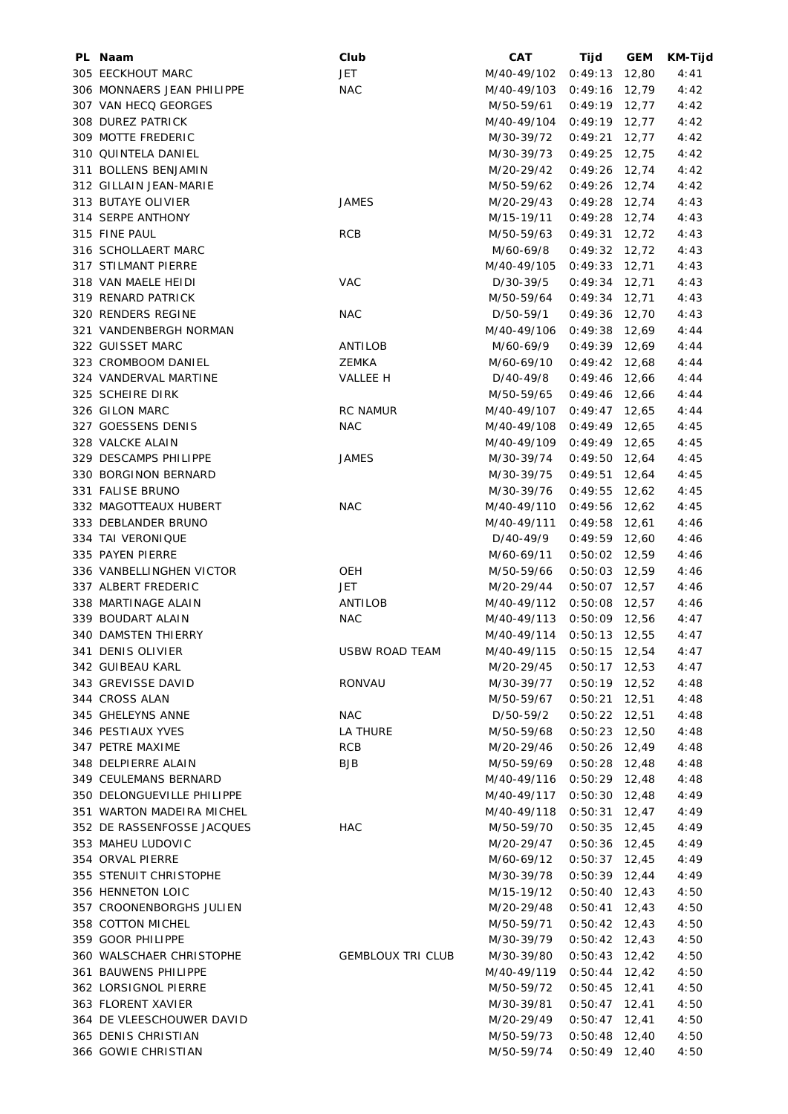| PL Naam                    | Club                     | CAT         | Tijd            | <b>GEM</b> | KM-Tijd |
|----------------------------|--------------------------|-------------|-----------------|------------|---------|
| 305 EECKHOUT MARC          | <b>JET</b>               | M/40-49/102 | 0:49:13         | 12,80      | 4:41    |
| 306 MONNAERS JEAN PHILIPPE | <b>NAC</b>               | M/40-49/103 | 0:49:16         | 12,79      | 4:42    |
| 307 VAN HECQ GEORGES       |                          | M/50-59/61  | $0:49:19$ 12,77 |            | 4:42    |
| 308 DUREZ PATRICK          |                          | M/40-49/104 | $0:49:19$ 12,77 |            | 4:42    |
| 309 MOTTE FREDERIC         |                          | M/30-39/72  | 0:49:21         | 12,77      | 4:42    |
| 310 QUINTELA DANIEL        |                          | M/30-39/73  | 0:49:25         | 12,75      | 4:42    |
| 311 BOLLENS BENJAMIN       |                          | M/20-29/42  | 0:49:26         | 12,74      | 4:42    |
| 312 GILLAIN JEAN-MARIE     |                          | M/50-59/62  | $0:49:26$ 12,74 |            | 4:42    |
| 313 BUTAYE OLIVIER         | JAMES                    | M/20-29/43  | $0:49:28$ 12,74 |            | 4:43    |
| 314 SERPE ANTHONY          |                          | M/15-19/11  | $0:49:28$ 12,74 |            | 4:43    |
| 315 FINE PAUL              | <b>RCB</b>               | M/50-59/63  | $0:49:31$ 12,72 |            | 4:43    |
| 316 SCHOLLAERT MARC        |                          | M/60-69/8   | $0:49:32$ 12,72 |            | 4:43    |
| 317 STILMANT PIERRE        |                          | M/40-49/105 | $0:49:33$ 12,71 |            | 4:43    |
| 318 VAN MAELE HEIDI        | <b>VAC</b>               | D/30-39/5   | $0:49:34$ 12,71 |            | 4:43    |
| 319 RENARD PATRICK         |                          | M/50-59/64  | $0:49:34$ 12,71 |            | 4:43    |
| 320 RENDERS REGINE         | <b>NAC</b>               | D/50-59/1   | $0:49:36$ 12,70 |            | 4:43    |
| 321 VANDENBERGH NORMAN     |                          | M/40-49/106 | $0:49:38$ 12,69 |            | 4:44    |
| 322 GUISSET MARC           | ANTILOB                  | M/60-69/9   | $0:49:39$ 12,69 |            | 4:44    |
| 323 CROMBOOM DANIEL        | <b>ZEMKA</b>             | M/60-69/10  | $0:49:42$ 12,68 |            | 4:44    |
| 324 VANDERVAL MARTINE      | VALLEE H                 | D/40-49/8   | $0:49:46$ 12,66 |            | 4:44    |
| 325 SCHEIRE DIRK           |                          | M/50-59/65  | $0:49:46$ 12,66 |            | 4:44    |
| 326 GILON MARC             | <b>RC NAMUR</b>          | M/40-49/107 | $0:49:47$ 12,65 |            | 4:44    |
| 327 GOESSENS DENIS         | <b>NAC</b>               | M/40-49/108 | $0:49:49$ 12,65 |            | 4:45    |
| 328 VALCKE ALAIN           |                          | M/40-49/109 | $0:49:49$ 12,65 |            | 4:45    |
| 329 DESCAMPS PHILIPPE      | JAMES                    | M/30-39/74  | $0:49:50$ 12,64 |            | 4:45    |
| 330 BORGINON BERNARD       |                          | M/30-39/75  | $0:49:51$ 12,64 |            | 4:45    |
| 331 FALISE BRUNO           |                          | M/30-39/76  | $0:49:55$ 12,62 |            | 4:45    |
| 332 MAGOTTEAUX HUBERT      | <b>NAC</b>               | M/40-49/110 | $0:49:56$ 12,62 |            | 4:45    |
| 333 DEBLANDER BRUNO        |                          | M/40-49/111 | $0:49:58$ 12,61 |            | 4:46    |
| 334 TAI VERONIQUE          |                          | D/40-49/9   | $0:49:59$ 12,60 |            | 4:46    |
| 335 PAYEN PIERRE           |                          | M/60-69/11  | $0:50:02$ 12,59 |            | 4:46    |
| 336 VANBELLINGHEN VICTOR   | OEH                      | M/50-59/66  | $0:50:03$ 12,59 |            | 4:46    |
| 337 ALBERT FREDERIC        | JET                      | M/20-29/44  | $0:50:07$ 12,57 |            | 4:46    |
| 338 MARTINAGE ALAIN        | ANTILOB                  | M/40-49/112 | $0:50:08$ 12,57 |            | 4:46    |
| 339 BOUDART ALAIN          | <b>NAC</b>               | M/40-49/113 | $0:50:09$ 12,56 |            | 4:47    |
| 340 DAMSTEN THIERRY        |                          | M/40-49/114 | $0:50:13$ 12,55 |            | 4:47    |
| 341 DENIS OLIVIER          | <b>USBW ROAD TEAM</b>    | M/40-49/115 | $0:50:15$ 12,54 |            | 4:47    |
| 342 GUIBEAU KARL           |                          | M/20-29/45  | $0:50:17$ 12,53 |            | 4:47    |
| 343 GREVISSE DAVID         | RONVAU                   | M/30-39/77  | $0:50:19$ 12,52 |            | 4:48    |
| 344 CROSS ALAN             |                          | M/50-59/67  | $0:50:21$ 12,51 |            | 4:48    |
| 345 GHELEYNS ANNE          | <b>NAC</b>               | D/50-59/2   | $0:50:22$ 12,51 |            | 4:48    |
| 346 PESTIAUX YVES          | LA THURE                 | M/50-59/68  | $0:50:23$ 12,50 |            | 4:48    |
| 347 PETRE MAXIME           | <b>RCB</b>               | M/20-29/46  | $0:50:26$ 12,49 |            | 4:48    |
| 348 DELPIERRE ALAIN        | <b>BJB</b>               | M/50-59/69  | $0:50:28$ 12,48 |            | 4:48    |
| 349 CEULEMANS BERNARD      |                          | M/40-49/116 | $0:50:29$ 12,48 |            | 4:48    |
| 350 DELONGUEVILLE PHILIPPE |                          | M/40-49/117 | $0:50:30$ 12,48 |            | 4:49    |
| 351 WARTON MADEIRA MICHEL  |                          | M/40-49/118 | $0:50:31$ 12,47 |            | 4:49    |
| 352 DE RASSENFOSSE JACQUES | HAC                      | M/50-59/70  | $0:50:35$ 12,45 |            | 4:49    |
| 353 MAHEU LUDOVIC          |                          | M/20-29/47  | $0:50:36$ 12,45 |            | 4:49    |
| 354 ORVAL PIERRE           |                          | M/60-69/12  | $0:50:37$ 12,45 |            | 4:49    |
| 355 STENUIT CHRISTOPHE     |                          | M/30-39/78  | $0:50:39$ 12,44 |            | 4:49    |
| 356 HENNETON LOIC          |                          | M/15-19/12  | $0:50:40$ 12,43 |            | 4:50    |
| 357 CROONENBORGHS JULIEN   |                          | M/20-29/48  | $0:50:41$ 12,43 |            | 4:50    |
| 358 COTTON MICHEL          |                          | M/50-59/71  | $0:50:42$ 12,43 |            | 4:50    |
| 359 GOOR PHILIPPE          |                          | M/30-39/79  | $0:50:42$ 12,43 |            | 4:50    |
| 360 WALSCHAER CHRISTOPHE   | <b>GEMBLOUX TRI CLUB</b> | M/30-39/80  | $0:50:43$ 12,42 |            | 4:50    |
| 361 BAUWENS PHILIPPE       |                          | M/40-49/119 | $0:50:44$ 12,42 |            | 4:50    |
| 362 LORSIGNOL PIERRE       |                          | M/50-59/72  | $0:50:45$ 12,41 |            | 4:50    |
| 363 FLORENT XAVIER         |                          | M/30-39/81  | $0:50:47$ 12,41 |            | 4:50    |
| 364 DE VLEESCHOUWER DAVID  |                          | M/20-29/49  | $0:50:47$ 12,41 |            | 4:50    |
| 365 DENIS CHRISTIAN        |                          | M/50-59/73  | $0:50:48$ 12,40 |            | 4:50    |
| 366 GOWIE CHRISTIAN        |                          | M/50-59/74  | $0:50:49$ 12,40 |            | 4:50    |
|                            |                          |             |                 |            |         |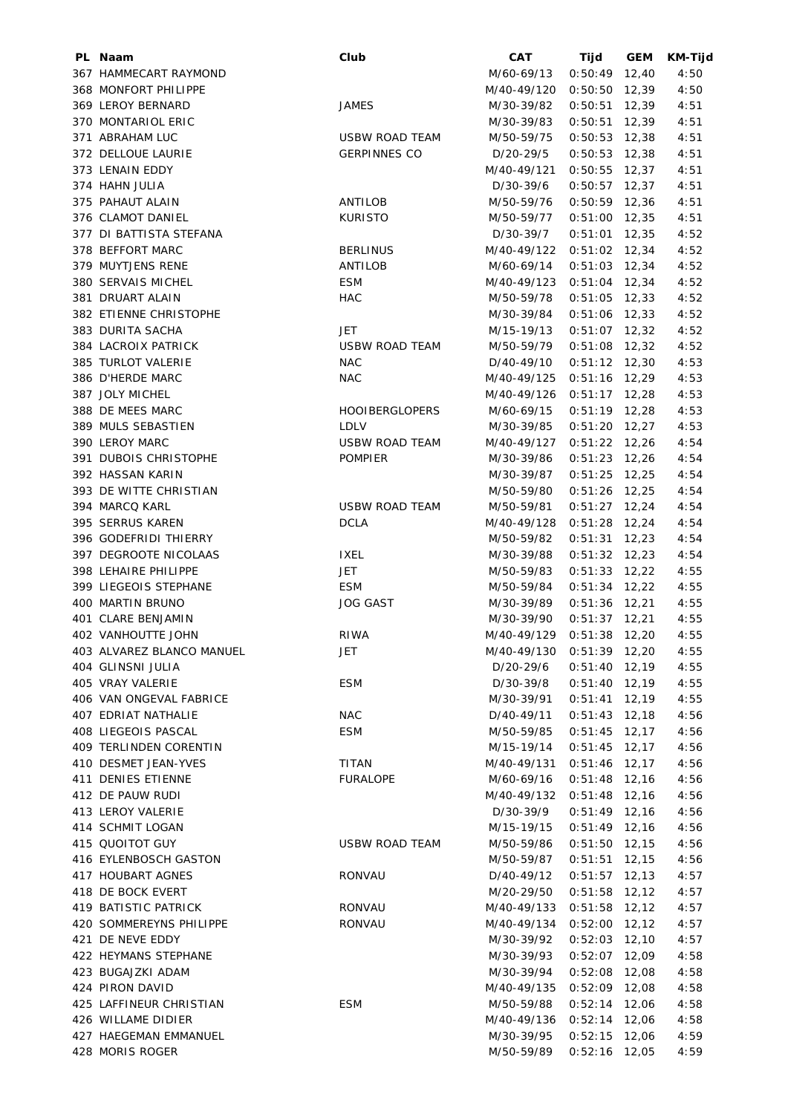| PL Naam                    | Club                  | CAT         | Tijd            | <b>GEM</b> | KM-Tijd |
|----------------------------|-----------------------|-------------|-----------------|------------|---------|
| 367 HAMMECART RAYMOND      |                       | M/60-69/13  | $0:50:49$ 12,40 |            | 4:50    |
| 368 MONFORT PHILIPPE       |                       | M/40-49/120 | $0:50:50$ 12,39 |            | 4:50    |
| 369 LEROY BERNARD          | JAMES                 | M/30-39/82  | $0:50:51$ 12,39 |            | 4:51    |
| 370 MONTARIOL ERIC         |                       | M/30-39/83  | 0:50:51         | 12,39      | 4:51    |
| 371 ABRAHAM LUC            | <b>USBW ROAD TEAM</b> | M/50-59/75  | $0:50:53$ 12,38 |            | 4:51    |
| 372 DELLOUE LAURIE         | <b>GERPINNES CO</b>   | D/20-29/5   | $0:50:53$ 12,38 |            | 4:51    |
| 373 LENAIN EDDY            |                       | M/40-49/121 | $0:50:55$ 12,37 |            | 4:51    |
| 374 HAHN JULIA             |                       | D/30-39/6   | $0:50:57$ 12,37 |            | 4:51    |
| 375 PAHAUT ALAIN           | ANTILOB               | M/50-59/76  | $0:50:59$ 12,36 |            | 4:51    |
| 376 CLAMOT DANIEL          | <b>KURISTO</b>        | M/50-59/77  | $0:51:00$ 12,35 |            | 4:51    |
| 377 DI BATTISTA STEFANA    |                       | $D/30-39/7$ | $0:51:01$ 12,35 |            | 4:52    |
| 378 BEFFORT MARC           | <b>BERLINUS</b>       | M/40-49/122 | $0:51:02$ 12,34 |            | 4:52    |
| 379 MUYTJENS RENE          | ANTILOB               | M/60-69/14  | $0:51:03$ 12,34 |            | 4:52    |
| 380 SERVAIS MICHEL         | <b>ESM</b>            | M/40-49/123 | $0:51:04$ 12,34 |            |         |
|                            |                       |             |                 |            | 4:52    |
| 381 DRUART ALAIN           | <b>HAC</b>            | M/50-59/78  | $0:51:05$ 12,33 |            | 4:52    |
| 382 ETIENNE CHRISTOPHE     |                       | M/30-39/84  | $0:51:06$ 12,33 |            | 4:52    |
| 383 DURITA SACHA           | JET                   | M/15-19/13  | $0:51:07$ 12,32 |            | 4:52    |
| 384 LACROIX PATRICK        | <b>USBW ROAD TEAM</b> | M/50-59/79  | $0:51:08$ 12,32 |            | 4:52    |
| 385 TURLOT VALERIE         | <b>NAC</b>            | D/40-49/10  | $0:51:12$ 12,30 |            | 4:53    |
| 386 D'HERDE MARC           | <b>NAC</b>            | M/40-49/125 | $0:51:16$ 12,29 |            | 4:53    |
| 387 JOLY MICHEL            |                       | M/40-49/126 | $0:51:17$ 12,28 |            | 4:53    |
| 388 DE MEES MARC           | <b>HOOIBERGLOPERS</b> | M/60-69/15  | $0:51:19$ 12,28 |            | 4:53    |
| 389 MULS SEBASTIEN         | LDLV                  | M/30-39/85  | $0:51:20$ 12,27 |            | 4:53    |
| 390 LEROY MARC             | <b>USBW ROAD TEAM</b> | M/40-49/127 | $0:51:22$ 12,26 |            | 4:54    |
| 391 DUBOIS CHRISTOPHE      | <b>POMPIER</b>        | M/30-39/86  | $0:51:23$ 12,26 |            | 4:54    |
| 392 HASSAN KARIN           |                       | M/30-39/87  | $0:51:25$ 12,25 |            | 4:54    |
| 393 DE WITTE CHRISTIAN     |                       | M/50-59/80  | $0:51:26$ 12,25 |            | 4:54    |
| 394 MARCQ KARL             | <b>USBW ROAD TEAM</b> | M/50-59/81  | $0:51:27$ 12,24 |            | 4:54    |
| 395 SERRUS KAREN           | <b>DCLA</b>           | M/40-49/128 | $0:51:28$ 12,24 |            | 4:54    |
| 396 GODEFRIDI THIERRY      |                       | M/50-59/82  | $0:51:31$ 12,23 |            | 4:54    |
| 397 DEGROOTE NICOLAAS      | IXEL                  | M/30-39/88  | $0:51:32$ 12,23 |            | 4:54    |
| 398 LEHAIRE PHILIPPE       | JET                   | M/50-59/83  | $0:51:33$ 12,22 |            | 4:55    |
| 399 LIEGEOIS STEPHANE      | <b>ESM</b>            | M/50-59/84  | $0:51:34$ 12,22 |            | 4:55    |
| 400 MARTIN BRUNO           | <b>JOG GAST</b>       | M/30-39/89  | $0:51:36$ 12,21 |            | 4:55    |
| 401 CLARE BENJAMIN         |                       | M/30-39/90  | $0:51:37$ 12,21 |            | 4:55    |
| <b>402 VANHOUTTE JOHN</b>  | RIWA                  | M/40-49/129 | $0:51:38$ 12,20 |            | 4:55    |
| 403 ALVAREZ BLANCO MANUEL  | JET                   | M/40-49/130 | $0:51:39$ 12,20 |            | 4:55    |
| 404 GLINSNI JULIA          |                       | D/20-29/6   | $0:51:40$ 12,19 |            | 4:55    |
| 405 VRAY VALERIE           | <b>ESM</b>            | D/30-39/8   | $0:51:40$ 12,19 |            | 4:55    |
| 406 VAN ONGEVAL FABRICE    |                       | M/30-39/91  | $0:51:41$ 12,19 |            | 4:55    |
| <b>407 EDRIAT NATHALIE</b> | <b>NAC</b>            | D/40-49/11  | $0:51:43$ 12,18 |            | 4:56    |
| 408 LIEGEOIS PASCAL        |                       |             |                 |            |         |
|                            | ESM                   | M/50-59/85  | $0:51:45$ 12,17 |            | 4:56    |
| 409 TERLINDEN CORENTIN     |                       | M/15-19/14  | $0:51:45$ 12,17 |            | 4:56    |
| 410 DESMET JEAN-YVES       | <b>TITAN</b>          | M/40-49/131 | $0:51:46$ 12,17 |            | 4:56    |
| 411 DENIES ETIENNE         | <b>FURALOPE</b>       | M/60-69/16  | $0:51:48$ 12,16 |            | 4:56    |
| 412 DE PAUW RUDI           |                       | M/40-49/132 | $0:51:48$ 12,16 |            | 4:56    |
| 413 LEROY VALERIE          |                       | D/30-39/9   | $0:51:49$ 12,16 |            | 4:56    |
| 414 SCHMIT LOGAN           |                       | M/15-19/15  | $0:51:49$ 12,16 |            | 4:56    |
| 415 QUOITOT GUY            | <b>USBW ROAD TEAM</b> | M/50-59/86  | $0:51:50$ 12,15 |            | 4:56    |
| 416 EYLENBOSCH GASTON      |                       | M/50-59/87  | $0:51:51$ 12,15 |            | 4:56    |
| 417 HOUBART AGNES          | RONVAU                | D/40-49/12  | $0:51:57$ 12,13 |            | 4:57    |
| 418 DE BOCK EVERT          |                       | M/20-29/50  | $0:51:58$ 12,12 |            | 4:57    |
| 419 BATISTIC PATRICK       | RONVAU                | M/40-49/133 | $0:51:58$ 12,12 |            | 4:57    |
| 420 SOMMEREYNS PHILIPPE    | RONVAU                | M/40-49/134 | $0:52:00$ 12,12 |            | 4:57    |
| 421 DE NEVE EDDY           |                       | M/30-39/92  | $0:52:03$ 12,10 |            | 4:57    |
| 422 HEYMANS STEPHANE       |                       | M/30-39/93  | $0:52:07$ 12,09 |            | 4:58    |
| 423 BUGAJZKI ADAM          |                       | M/30-39/94  | $0:52:08$ 12,08 |            | 4:58    |
| 424 PIRON DAVID            |                       | M/40-49/135 | $0:52:09$ 12,08 |            | 4:58    |
| 425 LAFFINEUR CHRISTIAN    | <b>ESM</b>            | M/50-59/88  | $0:52:14$ 12,06 |            | 4:58    |
| 426 WILLAME DIDIER         |                       | M/40-49/136 | $0:52:14$ 12,06 |            | 4:58    |
| 427 HAEGEMAN EMMANUEL      |                       | M/30-39/95  | $0:52:15$ 12,06 |            | 4:59    |
| 428 MORIS ROGER            |                       | M/50-59/89  | $0:52:16$ 12,05 |            | 4:59    |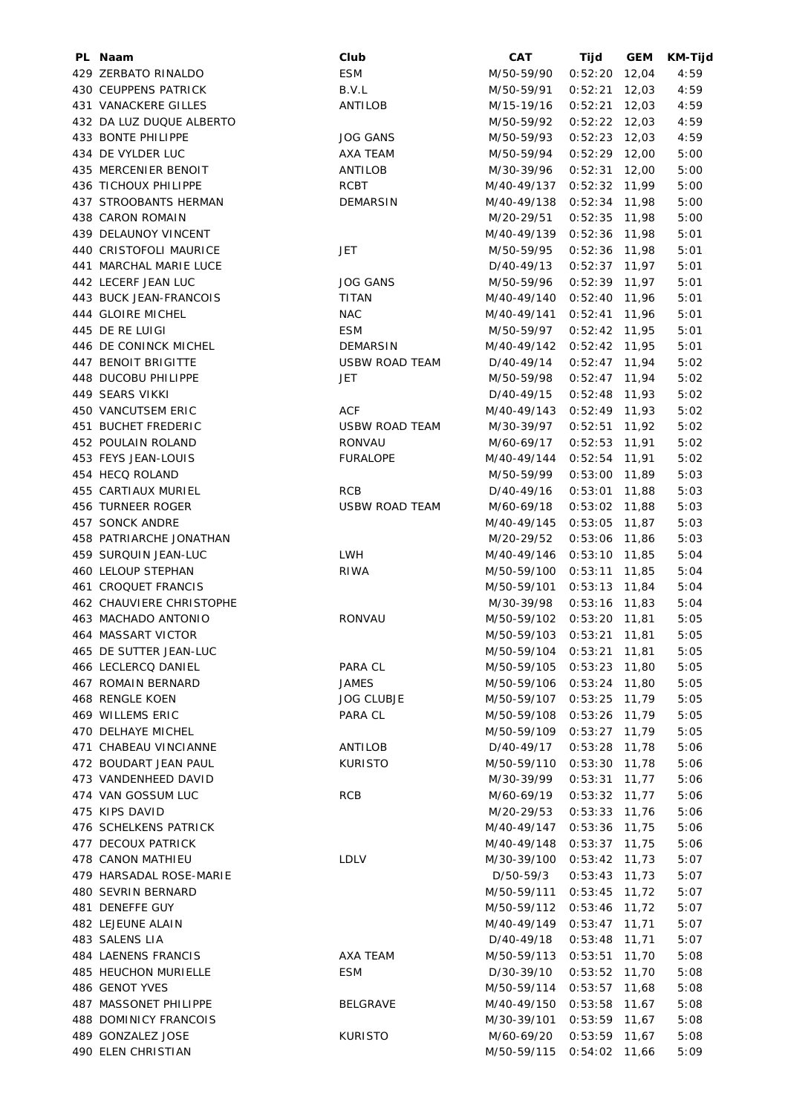| PL Naam                         | Club                  | CAT                       | Tijd            | <b>GEM</b> | KM-Tijd |
|---------------------------------|-----------------------|---------------------------|-----------------|------------|---------|
| 429 ZERBATO RINALDO             | <b>ESM</b>            | M/50-59/90                | 0:52:20         | 12,04      | 4:59    |
| 430 CEUPPENS PATRICK            | B.V.L                 | M/50-59/91                | 0:52:21         | 12,03      | 4:59    |
| 431 VANACKERE GILLES            | ANTILOB               | M/15-19/16                | 0:52:21         | 12,03      | 4:59    |
| 432 DA LUZ DUQUE ALBERTO        |                       | M/50-59/92                | $0:52:22$ 12,03 |            | 4:59    |
| 433 BONTE PHILIPPE              | <b>JOG GANS</b>       | M/50-59/93                | 0:52:23         | 12,03      | 4:59    |
| 434 DE VYLDER LUC               | AXA TEAM              | M/50-59/94                | $0:52:29$ 12,00 |            | 5:00    |
| 435 MERCENIER BENOIT            | ANTILOB               | M/30-39/96                | 0:52:31         | 12,00      | 5:00    |
| 436 TICHOUX PHILIPPE            | <b>RCBT</b>           | M/40-49/137               | $0:52:32$ 11,99 |            | 5:00    |
| 437 STROOBANTS HERMAN           | <b>DEMARSIN</b>       | M/40-49/138               | $0:52:34$ 11,98 |            | 5:00    |
| 438 CARON ROMAIN                |                       | M/20-29/51                | $0:52:35$ 11,98 |            | 5:00    |
| 439 DELAUNOY VINCENT            |                       | M/40-49/139               | 0:52:36 11,98   |            | 5:01    |
| 440 CRISTOFOLI MAURICE          | <b>JET</b>            | M/50-59/95                | $0:52:36$ 11,98 |            | 5:01    |
| 441 MARCHAL MARIE LUCE          |                       | D/40-49/13                | $0:52:37$ 11,97 |            | 5:01    |
| 442 LECERF JEAN LUC             | <b>JOG GANS</b>       | M/50-59/96                | $0:52:39$ 11,97 |            | 5:01    |
| 443 BUCK JEAN-FRANCOIS          | <b>TITAN</b>          | M/40-49/140               | 0:52:40 11,96   |            | 5:01    |
| 444 GLOIRE MICHEL               | <b>NAC</b>            | M/40-49/141               | $0:52:41$ 11,96 |            | 5:01    |
| 445 DE RE LUIGI                 | <b>ESM</b>            | M/50-59/97                | $0:52:42$ 11,95 |            | 5:01    |
| 446 DE CONINCK MICHEL           | <b>DEMARSIN</b>       | M/40-49/142               | $0:52:42$ 11,95 |            | 5:01    |
| 447 BENOIT BRIGITTE             | <b>USBW ROAD TEAM</b> | D/40-49/14                | $0:52:47$ 11,94 |            | 5:02    |
| 448 DUCOBU PHILIPPE             | <b>JET</b>            | M/50-59/98                | $0:52:47$ 11,94 |            | 5:02    |
| 449 SEARS VIKKI                 |                       | D/40-49/15                | $0:52:48$ 11,93 |            | 5:02    |
| 450 VANCUTSEM ERIC              | <b>ACF</b>            |                           | $0:52:49$ 11,93 |            | 5:02    |
| 451 BUCHET FREDERIC             | <b>USBW ROAD TEAM</b> | M/40-49/143<br>M/30-39/97 | $0:52:51$ 11,92 |            | 5:02    |
| 452 POULAIN ROLAND              | RONVAU                |                           | $0:52:53$ 11,91 |            |         |
| 453 FEYS JEAN-LOUIS             |                       | M/60-69/17                |                 |            | 5:02    |
|                                 | <b>FURALOPE</b>       | M/40-49/144               | $0:52:54$ 11,91 |            | 5:02    |
| 454 HECQ ROLAND                 |                       | M/50-59/99                | $0:53:00$ 11,89 |            | 5:03    |
| 455 CARTIAUX MURIEL             | <b>RCB</b>            | D/40-49/16                | $0:53:01$ 11,88 |            | 5:03    |
| 456 TURNEER ROGER               | USBW ROAD TEAM        | M/60-69/18                | $0:53:02$ 11,88 |            | 5:03    |
| 457 SONCK ANDRE                 |                       | M/40-49/145               | $0:53:05$ 11,87 |            | 5:03    |
| 458 PATRIARCHE JONATHAN         |                       | M/20-29/52                | 0:53:06 11,86   |            | 5:03    |
| 459 SURQUIN JEAN-LUC            | LWH                   | M/40-49/146               | $0:53:10$ 11,85 |            | 5:04    |
| 460 LELOUP STEPHAN              | RIWA                  | M/50-59/100               | $0:53:11$ 11,85 |            | 5:04    |
| <b>461 CROQUET FRANCIS</b>      |                       | M/50-59/101               | $0:53:13$ 11,84 |            | 5:04    |
| <b>462 CHAUVIERE CHRISTOPHE</b> |                       | M/30-39/98                | $0:53:16$ 11,83 |            | 5:04    |
| 463 MACHADO ANTONIO             | RONVAU                | M/50-59/102               | $0:53:20$ 11,81 |            | 5:05    |
| 464 MASSART VICTOR              |                       | M/50-59/103               | $0:53:21$ 11,81 |            | 5:05    |
| 465 DE SUTTER JEAN-LUC          |                       | M/50-59/104               | $0:53:21$ 11,81 |            | 5:05    |
| 466 LECLERCQ DANIEL             | PARA CL               | M/50-59/105               | $0:53:23$ 11,80 |            | 5:05    |
| 467 ROMAIN BERNARD              | <b>JAMES</b>          | M/50-59/106               | $0:53:24$ 11,80 |            | 5:05    |
| 468 RENGLE KOEN                 | <b>JOG CLUBJE</b>     | M/50-59/107               | $0:53:25$ 11,79 |            | 5:05    |
| 469 WILLEMS ERIC                | PARA CL               | M/50-59/108               | $0:53:26$ 11,79 |            | 5:05    |
| 470 DELHAYE MICHEL              |                       | M/50-59/109               | $0:53:27$ 11,79 |            | 5:05    |
| 471 CHABEAU VINCIANNE           | <b>ANTILOB</b>        | D/40-49/17                | $0:53:28$ 11,78 |            | 5:06    |
| 472 BOUDART JEAN PAUL           | KURISTO               | M/50-59/110               | $0:53:30$ 11,78 |            | 5:06    |
| 473 VANDENHEED DAVID            |                       | M/30-39/99                | $0:53:31$ 11,77 |            | 5:06    |
| 474 VAN GOSSUM LUC              | <b>RCB</b>            | M/60-69/19                | $0:53:32$ 11,77 |            | 5:06    |
| 475 KIPS DAVID                  |                       | M/20-29/53                | $0:53:33$ 11,76 |            | 5:06    |
| 476 SCHELKENS PATRICK           |                       | M/40-49/147               | $0:53:36$ 11,75 |            | 5:06    |
| 477 DECOUX PATRICK              |                       | M/40-49/148               | $0:53:37$ 11,75 |            | 5:06    |
| 478 CANON MATHIEU               | <b>LDLV</b>           | M/30-39/100               | $0:53:42$ 11,73 |            | 5:07    |
| 479 HARSADAL ROSE-MARIE         |                       | D/50-59/3                 | $0:53:43$ 11,73 |            | 5:07    |
| 480 SEVRIN BERNARD              |                       | M/50-59/111               | $0:53:45$ 11,72 |            | 5:07    |
| 481 DENEFFE GUY                 |                       | M/50-59/112               | $0:53:46$ 11,72 |            | 5:07    |
| 482 LEJEUNE ALAIN               |                       | M/40-49/149               | $0:53:47$ 11,71 |            | 5:07    |
| 483 SALENS LIA                  |                       | D/40-49/18                | $0:53:48$ 11,71 |            | 5:07    |
| 484 LAENENS FRANCIS             | AXA TEAM              | M/50-59/113               | $0:53:51$ 11,70 |            | 5:08    |
| 485 HEUCHON MURIELLE            | <b>ESM</b>            | D/30-39/10                | $0:53:52$ 11,70 |            | 5:08    |
| 486 GENOT YVES                  |                       | M/50-59/114               | $0:53:57$ 11,68 |            | 5:08    |
| 487 MASSONET PHILIPPE           | <b>BELGRAVE</b>       | M/40-49/150               | $0:53:58$ 11,67 |            | 5:08    |
| 488 DOMINICY FRANCOIS           |                       | M/30-39/101               | $0:53:59$ 11,67 |            | 5:08    |
| 489 GONZALEZ JOSE               | <b>KURISTO</b>        | M/60-69/20                | $0:53:59$ 11,67 |            | 5:08    |
| 490 ELEN CHRISTIAN              |                       | M/50-59/115 0:54:02 11,66 |                 |            | 5:09    |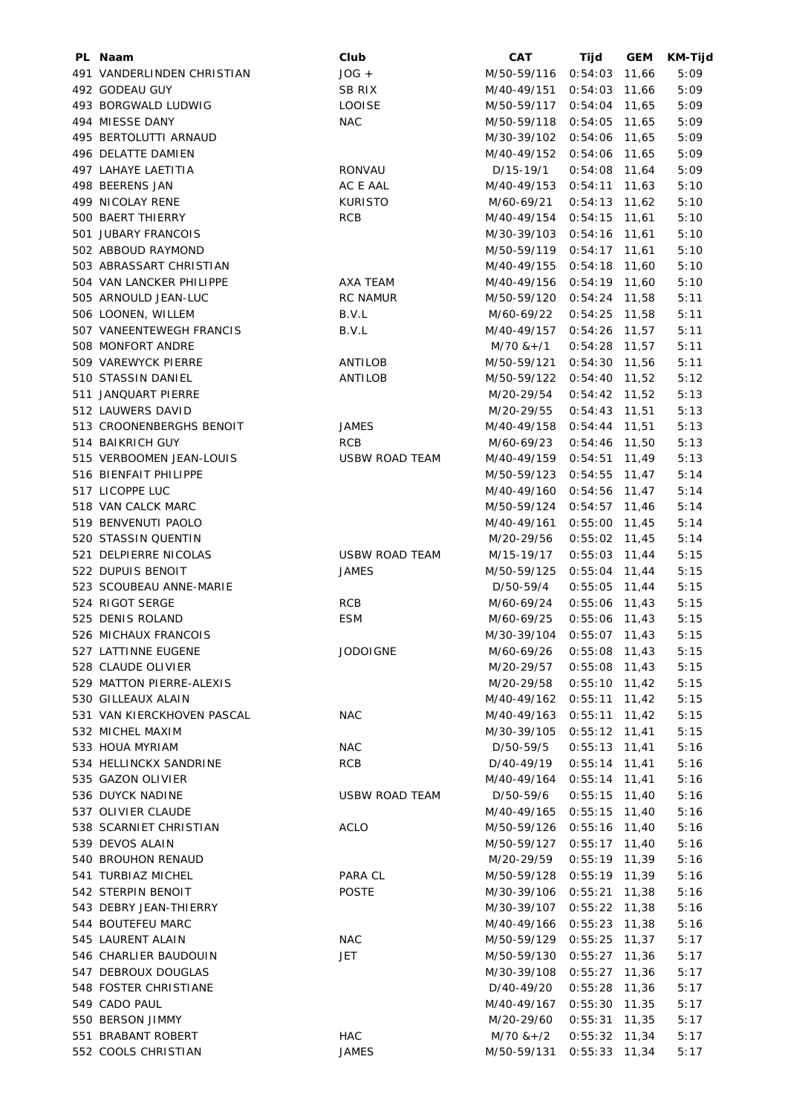| PL Naam                    | Club                  | CAT             | Tijd            | <b>GEM</b> | KM-Tijd |
|----------------------------|-----------------------|-----------------|-----------------|------------|---------|
| 491 VANDERLINDEN CHRISTIAN | $JOG +$               | M/50-59/116     | 0:54:03         | 11,66      | 5:09    |
| 492 GODEAU GUY             | <b>SB RIX</b>         | M/40-49/151     | 0:54:03         | 11,66      | 5:09    |
| 493 BORGWALD LUDWIG        | <b>LOOISE</b>         | M/50-59/117     | 0:54:04         | 11,65      | 5:09    |
| 494 MIESSE DANY            | <b>NAC</b>            | M/50-59/118     | 0:54:05         | 11,65      | 5:09    |
| 495 BERTOLUTTI ARNAUD      |                       | M/30-39/102     | 0:54:06         | 11,65      | 5:09    |
| 496 DELATTE DAMIEN         |                       | M/40-49/152     | 0:54:06         | 11,65      | 5:09    |
| 497 LAHAYE LAETITIA        | RONVAU                | $D/15-19/1$     | $0:54:08$ 11,64 |            | 5:09    |
| 498 BEERENS JAN            | AC E AAL              | M/40-49/153     | 0:54:11         | 11,63      | 5:10    |
| 499 NICOLAY RENE           | <b>KURISTO</b>        | M/60-69/21      | $0:54:13$ 11,62 |            | 5:10    |
| 500 BAERT THIERRY          | <b>RCB</b>            | M/40-49/154     | 0:54:15         | 11,61      | 5:10    |
| 501 JUBARY FRANCOIS        |                       | M/30-39/103     | 0:54:16         | 11,61      | 5:10    |
| 502 ABBOUD RAYMOND         |                       | M/50-59/119     | $0:54:17$ 11,61 |            | 5:10    |
| 503 ABRASSART CHRISTIAN    |                       | M/40-49/155     | $0:54:18$ 11,60 |            | 5:10    |
| 504 VAN LANCKER PHILIPPE   | AXA TEAM              | M/40-49/156     | $0:54:19$ 11,60 |            | 5:10    |
| 505 ARNOULD JEAN-LUC       | <b>RC NAMUR</b>       | M/50-59/120     | $0:54:24$ 11,58 |            | 5:11    |
| 506 LOONEN, WILLEM         | B.V.L                 | M/60-69/22      | $0:54:25$ 11,58 |            | 5:11    |
| 507 VANEENTEWEGH FRANCIS   | B.V.L                 | M/40-49/157     | $0:54:26$ 11,57 |            | 5:11    |
| 508 MONFORT ANDRE          |                       | $M/70$ & +/1    | $0:54:28$ 11,57 |            | 5:11    |
| 509 VAREWYCK PIERRE        | ANTILOB               | M/50-59/121     | $0:54:30$ 11,56 |            | 5:11    |
| 510 STASSIN DANIEL         | ANTILOB               | M/50-59/122     | $0:54:40$ 11,52 |            | 5:12    |
| 511 JANQUART PIERRE        |                       | M/20-29/54      | $0:54:42$ 11,52 |            | 5:13    |
| 512 LAUWERS DAVID          |                       | M/20-29/55      | $0:54:43$ 11,51 |            | 5:13    |
| 513 CROONENBERGHS BENOIT   | <b>JAMES</b>          | M/40-49/158     | $0:54:44$ 11,51 |            | 5:13    |
| 514 BAIKRICH GUY           | <b>RCB</b>            | M/60-69/23      | $0:54:46$ 11,50 |            | 5:13    |
| 515 VERBOOMEN JEAN-LOUIS   | <b>USBW ROAD TEAM</b> | M/40-49/159     | $0:54:51$ 11,49 |            | 5:13    |
| 516 BIENFAIT PHILIPPE      |                       | M/50-59/123     | $0:54:55$ 11,47 |            | 5:14    |
| 517 LICOPPE LUC            |                       | M/40-49/160     | $0:54:56$ 11,47 |            | 5:14    |
| 518 VAN CALCK MARC         |                       | M/50-59/124     | $0:54:57$ 11,46 |            | 5:14    |
| 519 BENVENUTI PAOLO        |                       | M/40-49/161     | $0:55:00$ 11,45 |            | 5:14    |
| 520 STASSIN QUENTIN        |                       | M/20-29/56      | $0:55:02$ 11,45 |            | 5:14    |
| 521 DELPIERRE NICOLAS      | <b>USBW ROAD TEAM</b> | M/15-19/17      | $0:55:03$ 11,44 |            | 5:15    |
| 522 DUPUIS BENOIT          | <b>JAMES</b>          | M/50-59/125     | $0:55:04$ 11,44 |            | 5:15    |
| 523 SCOUBEAU ANNE-MARIE    |                       | D/50-59/4       | $0:55:05$ 11,44 |            | 5:15    |
| 524 RIGOT SERGE            | <b>RCB</b>            | M/60-69/24      | $0:55:06$ 11,43 |            | 5:15    |
| 525 DENIS ROLAND           | <b>ESM</b>            | M/60-69/25      | $0:55:06$ 11,43 |            | 5:15    |
| 526 MICHAUX FRANCOIS       |                       | M/30-39/104     | $0:55:07$ 11,43 |            | 5:15    |
| 527 LATTINNE EUGENE        | <b>JODOIGNE</b>       | M/60-69/26      | $0:55:08$ 11,43 |            | 5:15    |
| 528 CLAUDE OLIVIER         |                       | M/20-29/57      | $0:55:08$ 11,43 |            | 5:15    |
| 529 MATTON PIERRE-ALEXIS   |                       | M/20-29/58      | $0:55:10$ 11,42 |            | 5:15    |
| 530 GILLEAUX ALAIN         |                       | M/40-49/162     |                 |            |         |
| 531 VAN KIERCKHOVEN PASCAL |                       |                 | $0:55:11$ 11,42 |            | 5:15    |
|                            | NAC.                  | M/40-49/163     | $0:55:11$ 11,42 |            | 5:15    |
| 532 MICHEL MAXIM           |                       | M/30-39/105     | $0:55:12$ 11,41 |            | 5:15    |
| 533 HOUA MYRIAM            | <b>NAC</b>            | D/50-59/5       | $0:55:13$ 11,41 |            | 5:16    |
| 534 HELLINCKX SANDRINE     | <b>RCB</b>            | D/40-49/19      | $0:55:14$ 11,41 |            | 5:16    |
| 535 GAZON OLIVIER          |                       | M/40-49/164     | $0:55:14$ 11,41 |            | 5:16    |
| 536 DUYCK NADINE           | <b>USBW ROAD TEAM</b> | D/50-59/6       | $0:55:15$ 11,40 |            | 5:16    |
| 537 OLIVIER CLAUDE         |                       | M/40-49/165     | $0:55:15$ 11,40 |            | 5:16    |
| 538 SCARNIET CHRISTIAN     | ACLO                  | M/50-59/126     | $0:55:16$ 11,40 |            | 5:16    |
| 539 DEVOS ALAIN            |                       | M/50-59/127     | $0:55:17$ 11,40 |            | 5:16    |
| 540 BROUHON RENAUD         |                       | M/20-29/59      | $0:55:19$ 11,39 |            | 5:16    |
| 541 TURBIAZ MICHEL         | PARA CL               | M/50-59/128     | $0:55:19$ 11,39 |            | 5:16    |
| 542 STERPIN BENOIT         | <b>POSTE</b>          | M/30-39/106     | 0:55:21         | 11,38      | 5:16    |
| 543 DEBRY JEAN-THIERRY     |                       | M/30-39/107     | 0:55:22         | 11,38      | 5:16    |
| 544 BOUTEFEU MARC          |                       | M/40-49/166     | 0:55:23         | 11,38      | 5:16    |
| 545 LAURENT ALAIN          | <b>NAC</b>            | M/50-59/129     | 0:55:25         | 11,37      | 5:17    |
| 546 CHARLIER BAUDOUIN      | JET                   | M/50-59/130     | $0:55:27$ 11,36 |            | 5:17    |
| 547 DEBROUX DOUGLAS        |                       | M/30-39/108     | $0:55:27$ 11,36 |            | 5:17    |
| 548 FOSTER CHRISTIANE      |                       | D/40-49/20      | $0:55:28$ 11,36 |            | 5:17    |
| 549 CADO PAUL              |                       | M/40-49/167     | $0:55:30$ 11,35 |            | 5:17    |
| 550 BERSON JIMMY           |                       | M/20-29/60      | 0:55:31         | 11,35      | 5:17    |
| 551 BRABANT ROBERT         | <b>HAC</b>            | $M/70$ & + $/2$ | $0:55:32$ 11,34 |            | 5:17    |
| 552 COOLS CHRISTIAN        | <b>JAMES</b>          | M/50-59/131     | $0:55:33$ 11,34 |            | 5:17    |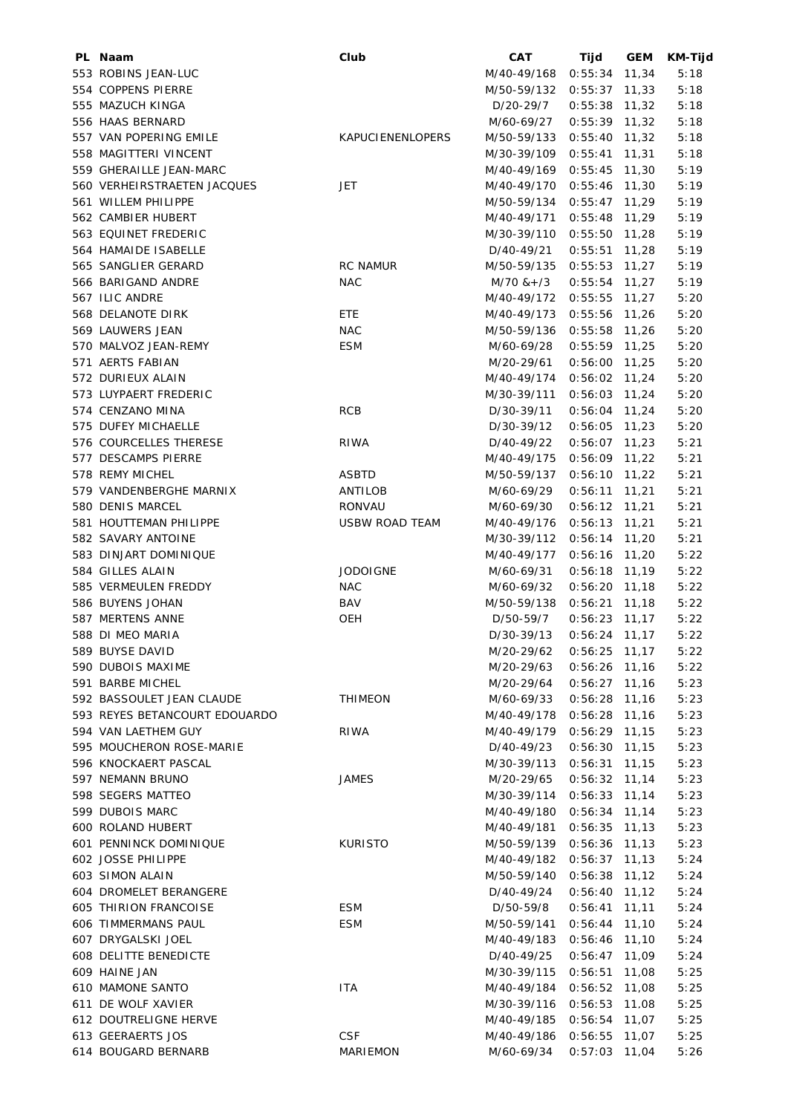| PL Naam                       | Club                    | <b>CAT</b>                | Tijd            | <b>GEM</b>     | KM-Tijd      |
|-------------------------------|-------------------------|---------------------------|-----------------|----------------|--------------|
| 553 ROBINS JEAN-LUC           |                         | M/40-49/168               | 0:55:34         | 11,34          | 5:18         |
| 554 COPPENS PIERRE            |                         | M/50-59/132               | 0:55:37         | 11,33          | 5:18         |
| 555 MAZUCH KINGA              |                         | D/20-29/7                 | 0:55:38         | 11,32          | 5:18         |
| 556 HAAS BERNARD              |                         | M/60-69/27                | $0:55:39$ 11,32 |                | 5:18         |
| 557 VAN POPERING EMILE        | <b>KAPUCIENENLOPERS</b> | M/50-59/133               | 0:55:40         | 11,32          | 5:18         |
| 558 MAGITTERI VINCENT         |                         | M/30-39/109               | 0:55:41         | 11,31          | 5:18         |
| 559 GHERAILLE JEAN-MARC       |                         | M/40-49/169               | 0:55:45         | 11,30          | 5:19         |
| 560 VERHEIRSTRAETEN JACQUES   | JET                     | M/40-49/170               | 0:55:46         | 11,30          | 5:19         |
| 561 WILLEM PHILIPPE           |                         | M/50-59/134               | 0:55:47         | 11,29          | 5:19         |
| 562 CAMBIER HUBERT            |                         | M/40-49/171               | 0:55:48         | 11,29          | 5:19         |
| 563 EQUINET FREDERIC          |                         | M/30-39/110               | 0:55:50         | 11,28          | 5:19         |
| 564 HAMAIDE ISABELLE          |                         | D/40-49/21                | 0:55:51         | 11,28          | 5:19         |
| 565 SANGLIER GERARD           | <b>RC NAMUR</b>         | M/50-59/135               | 0:55:53         | 11,27          | 5:19         |
| 566 BARIGAND ANDRE            | <b>NAC</b>              | $M/70$ & + /3             | 0:55:54         | 11,27          | 5:19         |
| 567 ILIC ANDRE                |                         | M/40-49/172               | 0:55:55         | 11,27          | 5:20         |
| 568 DELANOTE DIRK             | ETE.                    | M/40-49/173               | 0:55:56         | 11,26          | 5:20         |
| 569 LAUWERS JEAN              | <b>NAC</b>              | M/50-59/136               | 0:55:58         | 11,26          | 5:20         |
| 570 MALVOZ JEAN-REMY          | <b>ESM</b>              | M/60-69/28                | $0:55:59$ 11,25 |                | 5:20         |
| 571 AERTS FABIAN              |                         | M/20-29/61                | 0:56:00         | 11,25          | 5:20         |
| 572 DURIEUX ALAIN             |                         | M/40-49/174               | 0:56:02         | 11,24          | 5:20         |
| 573 LUYPAERT FREDERIC         |                         | M/30-39/111               | 0:56:03         | 11,24          | 5:20         |
| 574 CENZANO MINA              | <b>RCB</b>              | D/30-39/11                | 0:56:04         | 11,24          | 5:20         |
| 575 DUFEY MICHAELLE           |                         | D/30-39/12                | 0:56:05         | 11,23          | 5:20         |
| 576 COURCELLES THERESE        | RIWA                    | D/40-49/22                | $0:56:07$ 11,23 |                | 5:21         |
| 577 DESCAMPS PIERRE           |                         | M/40-49/175               | $0:56:09$ 11,22 |                | 5:21         |
| 578 REMY MICHEL               | <b>ASBTD</b>            | M/50-59/137               | 0:56:10         | 11,22          | 5:21         |
| 579 VANDENBERGHE MARNIX       | <b>ANTILOB</b>          | M/60-69/29                | 0:56:11         | 11,21          | 5:21         |
| 580 DENIS MARCEL              | <b>RONVAU</b>           | M/60-69/30                | 0:56:12         | 11,21          | 5:21         |
| 581 HOUTTEMAN PHILIPPE        | <b>USBW ROAD TEAM</b>   | M/40-49/176               | 0:56:13         | 11,21          | 5:21         |
| 582 SAVARY ANTOINE            |                         | M/30-39/112               | 0:56:14         | 11,20          | 5:21         |
| 583 DINJART DOMINIQUE         |                         | M/40-49/177               | 0:56:16         | 11,20          | 5:22         |
| 584 GILLES ALAIN              | <b>JODOIGNE</b>         | M/60-69/31                | $0:56:18$ 11,19 |                | 5:22         |
| 585 VERMEULEN FREDDY          | <b>NAC</b>              | M/60-69/32                | $0:56:20$ 11,18 |                | 5:22         |
| 586 BUYENS JOHAN              | <b>BAV</b>              | M/50-59/138               | 0:56:21         | 11,18          | 5:22         |
| 587 MERTENS ANNE              | OEH                     | D/50-59/7                 | 0:56:23         | 11,17          | 5:22         |
| 588 DI MEO MARIA              |                         | D/30-39/13                | $0:56:24$ 11,17 |                | 5:22         |
| 589 BUYSE DAVID               |                         | M/20-29/62                | $0:56:25$ 11,17 |                | 5:22         |
| 590 DUBOIS MAXIME             |                         | M/20-29/63                | 0:56:26 11,16   |                | 5:22         |
| 591 BARBE MICHEL              |                         | M/20-29/64                | $0:56:27$ 11,16 |                | 5:23         |
| 592 BASSOULET JEAN CLAUDE     | <b>THIMEON</b>          | M/60-69/33                | $0:56:28$ 11,16 |                | 5:23         |
| 593 REYES BETANCOURT EDOUARDO |                         | M/40-49/178               | $0:56:28$ 11,16 |                | 5:23         |
| 594 VAN LAETHEM GUY           | RIWA                    | M/40-49/179               | $0:56:29$ 11,15 |                | 5:23         |
| 595 MOUCHERON ROSE-MARIE      |                         | D/40-49/23                | $0:56:30$ 11,15 |                | 5:23         |
| 596 KNOCKAERT PASCAL          |                         | M/30-39/113               | 0:56:31         | 11,15          | 5:23         |
| 597 NEMANN BRUNO              | JAMES                   | M/20-29/65                | $0:56:32$ 11,14 |                | 5:23         |
| 598 SEGERS MATTEO             |                         | M/30-39/114               | $0:56:33$ 11,14 |                | 5:23         |
| 599 DUBOIS MARC               |                         | M/40-49/180               | $0:56:34$ 11,14 |                | 5:23         |
| 600 ROLAND HUBERT             |                         | M/40-49/181               | $0:56:35$ 11,13 |                | 5:23         |
| 601 PENNINCK DOMINIQUE        | <b>KURISTO</b>          | M/50-59/139               | $0:56:36$ 11,13 |                | 5:23         |
| 602 JOSSE PHILIPPE            |                         | M/40-49/182               | $0:56:37$ 11,13 |                | 5:24         |
| 603 SIMON ALAIN               |                         | M/50-59/140               | $0:56:38$ 11,12 |                | 5:24         |
| 604 DROMELET BERANGERE        |                         | D/40-49/24                | $0:56:40$ 11,12 |                | 5:24         |
| 605 THIRION FRANCOISE         | <b>ESM</b>              | D/50-59/8                 | 0:56:41         | 11,11          | 5:24         |
| 606 TIMMERMANS PAUL           | <b>ESM</b>              | M/50-59/141               | 0:56:44         | 11,10          | 5:24         |
| 607 DRYGALSKI JOEL            |                         |                           | 0:56:46         |                |              |
| 608 DELITTE BENEDICTE         |                         | M/40-49/183<br>D/40-49/25 | 0:56:47         | 11,10<br>11,09 | 5:24<br>5:24 |
| 609 HAINE JAN                 |                         |                           | 0:56:51         |                |              |
|                               |                         | M/30-39/115               |                 | 11,08          | 5:25         |
| <b>610 MAMONE SANTO</b>       | <b>ITA</b>              | M/40-49/184               | 0:56:52         | 11,08          | 5:25         |
| 611 DE WOLF XAVIER            |                         | M/30-39/116               | 0:56:53         | 11,08          | 5:25         |
| 612 DOUTRELIGNE HERVE         |                         | M/40-49/185               | 0:56:54         | 11,07          | 5:25         |
| 613 GEERAERTS JOS             | <b>CSF</b>              | M/40-49/186               | 0:56:55         | 11,07          | 5:25         |
| 614 BOUGARD BERNARB           | MARIEMON                | M/60-69/34                | $0:57:03$ 11,04 |                | 5:26         |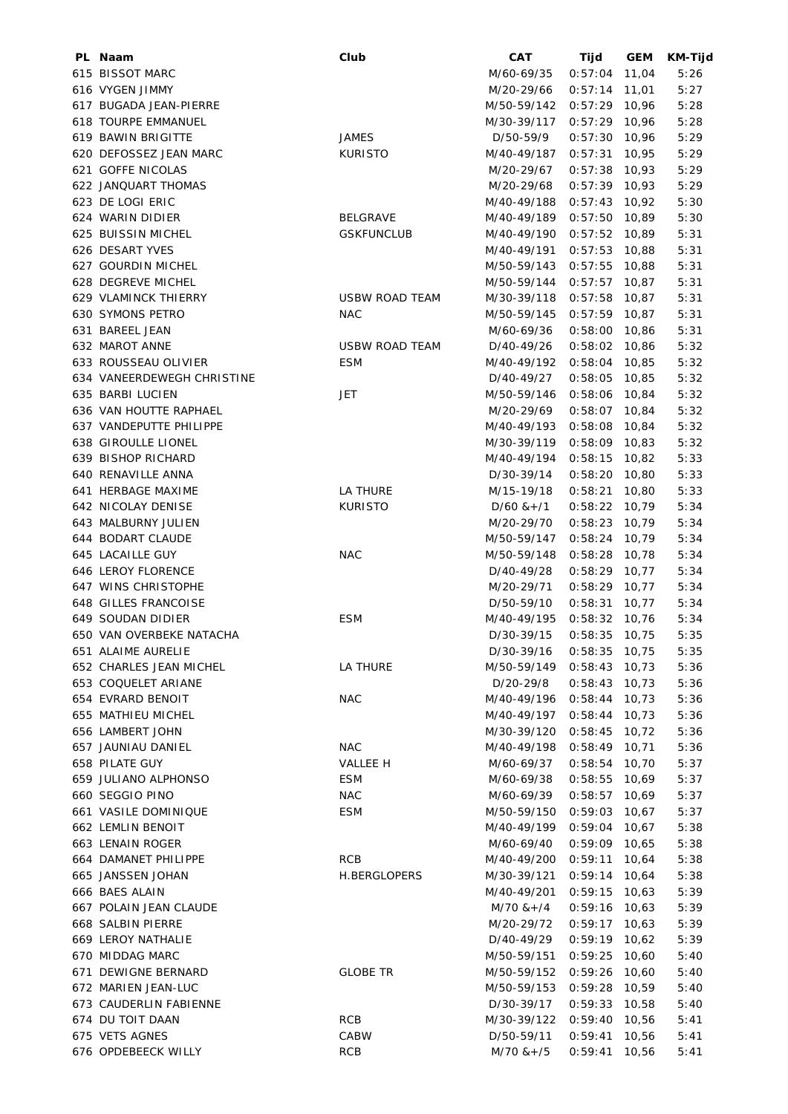| PL Naam                         | Club              | <b>CAT</b>    | Tijd            | <b>GEM</b> | KM-Tijd      |
|---------------------------------|-------------------|---------------|-----------------|------------|--------------|
| 615 BISSOT MARC                 |                   | M/60-69/35    | 0:57:04         | 11,04      | 5:26         |
| 616 VYGEN JIMMY                 |                   | M/20-29/66    | 0:57:14         | 11,01      | 5:27         |
| 617 BUGADA JEAN-PIERRE          |                   | M/50-59/142   | $0:57:29$ 10,96 |            | 5:28         |
| 618 TOURPE EMMANUEL             |                   | M/30-39/117   | $0:57:29$ 10,96 |            | 5:28         |
| 619 BAWIN BRIGITTE              | <b>JAMES</b>      | D/50-59/9     | 0:57:30         | 10,96      | 5:29         |
| 620 DEFOSSEZ JEAN MARC          | <b>KURISTO</b>    | M/40-49/187   | 0:57:31         | 10,95      | 5:29         |
| 621 GOFFE NICOLAS               |                   | M/20-29/67    | 0:57:38         | 10,93      | 5:29         |
| 622 JANQUART THOMAS             |                   | M/20-29/68    | $0:57:39$ 10,93 |            | 5:29         |
| 623 DE LOGI ERIC                |                   | M/40-49/188   | $0:57:43$ 10,92 |            | 5:30         |
| 624 WARIN DIDIER                | <b>BELGRAVE</b>   | M/40-49/189   | 0:57:50         | 10,89      | 5:30         |
| 625 BUISSIN MICHEL              | <b>GSKFUNCLUB</b> | M/40-49/190   | 0:57:52         | 10,89      | 5:31         |
| 626 DESART YVES                 |                   | M/40-49/191   | 0:57:53         | 10,88      | 5:31         |
| 627 GOURDIN MICHEL              |                   | M/50-59/143   | 0:57:55         | 10,88      | 5:31         |
| 628 DEGREVE MICHEL              |                   | M/50-59/144   | $0:57:57$ 10,87 |            | 5:31         |
| 629 VLAMINCK THIERRY            | USBW ROAD TEAM    | M/30-39/118   | 0:57:58         | 10,87      | 5:31         |
| 630 SYMONS PETRO                | <b>NAC</b>        | M/50-59/145   | $0:57:59$ 10,87 |            | 5:31         |
| 631 BAREEL JEAN                 |                   | M/60-69/36    | 0:58:00         | 10,86      | 5:31         |
| 632 MAROT ANNE                  | USBW ROAD TEAM    | D/40-49/26    | $0:58:02$ 10,86 |            | 5:32         |
| 633 ROUSSEAU OLIVIER            | <b>ESM</b>        | M/40-49/192   | 0:58:04         | 10,85      | 5:32         |
| 634 VANEERDEWEGH CHRISTINE      |                   | D/40-49/27    | 0:58:05         | 10,85      | 5:32         |
| 635 BARBI LUCIEN                | JET               | M/50-59/146   | 0:58:06         | 10,84      | 5:32         |
| 636 VAN HOUTTE RAPHAEL          |                   | M/20-29/69    | 0:58:07         | 10,84      | 5:32         |
| 637 VANDEPUTTE PHILIPPE         |                   | M/40-49/193   | $0:58:08$ 10,84 |            | 5:32         |
| 638 GIROULLE LIONEL             |                   | M/30-39/119   | $0:58:09$ 10,83 |            | 5:32         |
| 639 BISHOP RICHARD              |                   | M/40-49/194   | 0:58:15         | 10,82      | 5:33         |
| 640 RENAVILLE ANNA              |                   | D/30-39/14    | 0:58:20         | 10,80      | 5:33         |
| 641 HERBAGE MAXIME              | LA THURE          | M/15-19/18    | 0:58:21         | 10,80      | 5:33         |
| 642 NICOLAY DENISE              | <b>KURISTO</b>    | $D/60$ & +/1  | 0:58:22         | 10,79      | 5:34         |
| 643 MALBURNY JULIEN             |                   | M/20-29/70    | 0:58:23         | 10,79      | 5:34         |
| 644 BODART CLAUDE               |                   | M/50-59/147   | 0:58:24         | 10,79      | 5:34         |
| 645 LACAILLE GUY                | <b>NAC</b>        | M/50-59/148   | 0:58:28         | 10,78      | 5:34         |
| 646 LEROY FLORENCE              |                   | D/40-49/28    | $0:58:29$ 10,77 |            | 5:34         |
| 647 WINS CHRISTOPHE             |                   | M/20-29/71    | $0:58:29$ 10,77 |            | 5:34         |
| 648 GILLES FRANCOISE            |                   | D/50-59/10    | 0:58:31         | 10,77      | 5:34         |
| 649 SOUDAN DIDIER               | <b>ESM</b>        | M/40-49/195   | $0:58:32$ 10,76 |            | 5:34         |
| <b>650 VAN OVERBEKE NATACHA</b> |                   | D/30-39/15    | 0:58:35         | 10,75      | 5:35         |
| 651 ALAIME AURELIE              |                   | D/30-39/16    | $0:58:35$ 10,75 |            | 5:35         |
| 652 CHARLES JEAN MICHEL         | LA THURE          | M/50-59/149   | $0:58:43$ 10,73 |            | 5:36         |
| 653 COQUELET ARIANE             |                   | D/20-29/8     | $0:58:43$ 10,73 |            | 5:36         |
| 654 EVRARD BENOIT               | <b>NAC</b>        | M/40-49/196   | $0:58:44$ 10,73 |            | 5:36         |
| 655 MATHIEU MICHEL              |                   | M/40-49/197   | $0:58:44$ 10,73 |            | 5:36         |
| 656 LAMBERT JOHN                |                   | M/30-39/120   | $0:58:45$ 10,72 |            |              |
| 657 JAUNIAU DANIEL              | <b>NAC</b>        | M/40-49/198   | $0:58:49$ 10,71 |            | 5:36         |
| 658 PILATE GUY                  | VALLEE H          | M/60-69/37    | 0:58:54         | 10,70      | 5:36<br>5:37 |
| 659 JULIANO ALPHONSO            |                   | M/60-69/38    |                 |            |              |
|                                 | <b>ESM</b>        |               | $0:58:55$ 10,69 |            | 5:37         |
| 660 SEGGIO PINO                 | <b>NAC</b>        | M/60-69/39    | $0:58:57$ 10,69 |            | 5:37         |
| 661 VASILE DOMINIQUE            | <b>ESM</b>        | M/50-59/150   | $0:59:03$ 10,67 |            | 5:37         |
| 662 LEMLIN BENOIT               |                   | M/40-49/199   | 0:59:04         | 10,67      | 5:38         |
| 663 LENAIN ROGER                |                   | M/60-69/40    | 0:59:09 10,65   |            | 5:38         |
| 664 DAMANET PHILIPPE            | <b>RCB</b>        | M/40-49/200   | 0:59:11         | 10,64      | 5:38         |
| 665 JANSSEN JOHAN               | H.BERGLOPERS      | M/30-39/121   | 0:59:14         | 10,64      | 5:38         |
| 666 BAES ALAIN                  |                   | M/40-49/201   | 0:59:15         | 10,63      | 5:39         |
| 667 POLAIN JEAN CLAUDE          |                   | $M/70$ & + /4 | 0:59:16         | 10,63      | 5:39         |
| 668 SALBIN PIERRE               |                   | M/20-29/72    | $0:59:17$ 10,63 |            | 5:39         |
| 669 LEROY NATHALIE              |                   | D/40-49/29    | $0:59:19$ 10,62 |            | 5:39         |
| 670 MIDDAG MARC                 |                   | M/50-59/151   | 0:59:25         | 10,60      | 5:40         |
| 671 DEWIGNE BERNARD             | <b>GLOBE TR</b>   | M/50-59/152   | 0:59:26         | 10,60      | 5:40         |
| 672 MARIEN JEAN-LUC             |                   | M/50-59/153   | 0:59:28         | 10,59      | 5:40         |
| 673 CAUDERLIN FABIENNE          |                   | D/30-39/17    | 0:59:33 10,58   |            | 5:40         |
| 674 DU TOIT DAAN                | <b>RCB</b>        | M/30-39/122   | 0:59:40         | 10,56      | 5:41         |
| 675 VETS AGNES                  | CABW              | D/50-59/11    | 0:59:41         | 10,56      | 5:41         |
| 676 OPDEBEECK WILLY             | <b>RCB</b>        | $M/70$ & + /5 | $0:59:41$ 10,56 |            | 5:41         |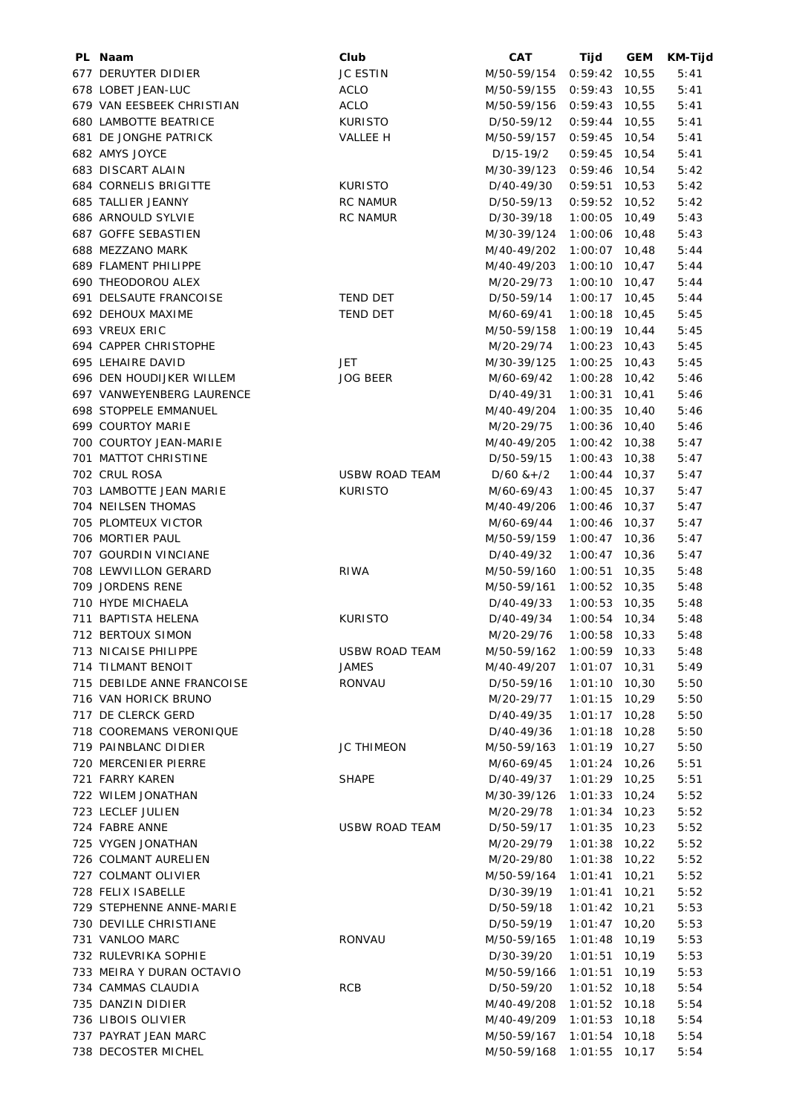| PL Naam                      | Club                  | CAT             | Tijd            | <b>GEM</b> | KM-Tijd |
|------------------------------|-----------------------|-----------------|-----------------|------------|---------|
| 677 DERUYTER DIDIER          | <b>JC ESTIN</b>       | M/50-59/154     | 0:59:42         | 10,55      | 5:41    |
| 678 LOBET JEAN-LUC           | <b>ACLO</b>           | M/50-59/155     | 0:59:43         | 10,55      | 5:41    |
| 679 VAN EESBEEK CHRISTIAN    | <b>ACLO</b>           | M/50-59/156     | $0:59:43$ 10,55 |            | 5:41    |
| <b>680 LAMBOTTE BEATRICE</b> | <b>KURISTO</b>        | D/50-59/12      | $0:59:44$ 10,55 |            | 5:41    |
| 681 DE JONGHE PATRICK        | VALLEE H              | M/50-59/157     | 0:59:45         | 10,54      | 5:41    |
| 682 AMYS JOYCE               |                       | D/15-19/2       | $0:59:45$ 10,54 |            | 5:41    |
| 683 DISCART ALAIN            |                       | M/30-39/123     | 0:59:46         | 10,54      | 5:42    |
| 684 CORNELIS BRIGITTE        | <b>KURISTO</b>        | D/40-49/30      | 0:59:51         | 10,53      | 5:42    |
| 685 TALLIER JEANNY           | <b>RC NAMUR</b>       | D/50-59/13      | $0:59:52$ 10,52 |            | 5:42    |
| 686 ARNOULD SYLVIE           | <b>RC NAMUR</b>       | D/30-39/18      | 1:00:05         | 10,49      | 5:43    |
| 687 GOFFE SEBASTIEN          |                       | M/30-39/124     | 1:00:06         | 10,48      | 5:43    |
| 688 MEZZANO MARK             |                       | M/40-49/202     | $1:00:07$ 10,48 |            | 5:44    |
| 689 FLAMENT PHILIPPE         |                       | M/40-49/203     | 1:00:10         | 10,47      | 5:44    |
| 690 THEODOROU ALEX           |                       | M/20-29/73      | 1:00:10         | 10,47      | 5:44    |
| 691 DELSAUTE FRANCOISE       | <b>TEND DET</b>       | D/50-59/14      | 1:00:17 10,45   |            | 5:44    |
| 692 DEHOUX MAXIME            | <b>TEND DET</b>       | M/60-69/41      | 1:00:18         | 10,45      | 5:45    |
| 693 VREUX ERIC               |                       | M/50-59/158     | $1:00:19$ 10,44 |            | 5:45    |
| 694 CAPPER CHRISTOPHE        |                       | M/20-29/74      | 1:00:23         | 10,43      | 5:45    |
| 695 LEHAIRE DAVID            | JET                   | M/30-39/125     | 1:00:25         | 10,43      | 5:45    |
| 696 DEN HOUDIJKER WILLEM     | <b>JOG BEER</b>       | M/60-69/42      | 1:00:28         | 10,42      | 5:46    |
| 697 VANWEYENBERG LAURENCE    |                       | D/40-49/31      | 1:00:31         | 10,41      | 5:46    |
| <b>698 STOPPELE EMMANUEL</b> |                       | M/40-49/204     | 1:00:35         | 10,40      | 5:46    |
| 699 COURTOY MARIE            |                       | M/20-29/75      | 1:00:36         | 10,40      | 5:46    |
| 700 COURTOY JEAN-MARIE       |                       | M/40-49/205     | $1:00:42$ 10,38 |            | 5:47    |
| 701 MATTOT CHRISTINE         |                       | D/50-59/15      | $1:00:43$ 10,38 |            | 5:47    |
| 702 CRUL ROSA                | <b>USBW ROAD TEAM</b> | $D/60$ & + $/2$ | $1:00:44$ 10,37 |            | 5:47    |
| 703 LAMBOTTE JEAN MARIE      | <b>KURISTO</b>        | M/60-69/43      | $1:00:45$ 10,37 |            | 5:47    |
| 704 NEILSEN THOMAS           |                       | M/40-49/206     | $1:00:46$ 10,37 |            | 5:47    |
| 705 PLOMTEUX VICTOR          |                       | M/60-69/44      | $1:00:46$ 10,37 |            | 5:47    |
| 706 MORTIER PAUL             |                       | M/50-59/159     | $1:00:47$ 10,36 |            | 5:47    |
| 707 GOURDIN VINCIANE         |                       | D/40-49/32      | $1:00:47$ 10,36 |            | 5:47    |
| 708 LEWVILLON GERARD         | RIWA                  | M/50-59/160     | 1:00:51         | 10,35      | 5:48    |
| 709 JORDENS RENE             |                       | M/50-59/161     | $1:00:52$ 10,35 |            | 5:48    |
| 710 HYDE MICHAELA            |                       | D/40-49/33      | 1:00:53         | 10,35      | 5:48    |
| 711 BAPTISTA HELENA          | <b>KURISTO</b>        | D/40-49/34      | $1:00:54$ 10,34 |            | 5:48    |
| 712 BERTOUX SIMON            |                       | M/20-29/76      | $1:00:58$ 10,33 |            | 5:48    |
| 713 NICAISE PHILIPPE         | <b>USBW ROAD TEAM</b> | M/50-59/162     | $1:00:59$ 10,33 |            | 5:48    |
| 714 TILMANT BENOIT           | <b>JAMES</b>          | M/40-49/207     | $1:01:07$ 10,31 |            | 5:49    |
| 715 DEBILDE ANNE FRANCOISE   | RONVAU                | D/50-59/16      | $1:01:10$ 10,30 |            | 5:50    |
| 716 VAN HORICK BRUNO         |                       | M/20-29/77      | $1:01:15$ 10,29 |            | 5:50    |
| 717 DE CLERCK GERD           |                       | D/40-49/35      | $1:01:17$ 10,28 |            | 5:50    |
| 718 COOREMANS VERONIQUE      |                       | D/40-49/36      | $1:01:18$ 10,28 |            | 5:50    |
| 719 PAINBLANC DIDIER         | <b>JC THIMEON</b>     | M/50-59/163     | $1:01:19$ 10,27 |            | 5:50    |
| 720 MERCENIER PIERRE         |                       | M/60-69/45      | $1:01:24$ 10,26 |            | 5:51    |
| 721 FARRY KAREN              | <b>SHAPE</b>          | D/40-49/37      | $1:01:29$ 10,25 |            | 5:51    |
| 722 WILEM JONATHAN           |                       | M/30-39/126     | $1:01:33$ 10,24 |            | 5:52    |
| 723 LECLEF JULIEN            |                       | M/20-29/78      | $1:01:34$ 10,23 |            | 5:52    |
| 724 FABRE ANNE               | <b>USBW ROAD TEAM</b> | D/50-59/17      | $1:01:35$ 10,23 |            | 5:52    |
| 725 VYGEN JONATHAN           |                       | M/20-29/79      | $1:01:38$ 10,22 |            | 5:52    |
| 726 COLMANT AURELIEN         |                       | M/20-29/80      | $1:01:38$ 10,22 |            | 5:52    |
| 727 COLMANT OLIVIER          |                       | M/50-59/164     | 1:01:41         | 10,21      | 5:52    |
| 728 FELIX ISABELLE           |                       | D/30-39/19      | 1:01:41         | 10,21      | 5:52    |
| 729 STEPHENNE ANNE-MARIE     |                       | D/50-59/18      | $1:01:42$ 10,21 |            | 5:53    |
| 730 DEVILLE CHRISTIANE       |                       | D/50-59/19      | $1:01:47$ 10,20 |            | 5:53    |
| 731 VANLOO MARC              | RONVAU                | M/50-59/165     | 1:01:48         | 10,19      | 5:53    |
| 732 RULEVRIKA SOPHIE         |                       | D/30-39/20      | 1:01:51         | 10,19      | 5:53    |
| 733 MEIRA Y DURAN OCTAVIO    |                       | M/50-59/166     | 1:01:51         | 10,19      | 5:53    |
| 734 CAMMAS CLAUDIA           | <b>RCB</b>            | D/50-59/20      | $1:01:52$ 10,18 |            | 5:54    |
| 735 DANZIN DIDIER            |                       | M/40-49/208     | $1:01:52$ 10,18 |            | 5:54    |
| 736 LIBOIS OLIVIER           |                       | M/40-49/209     | $1:01:53$ 10,18 |            | 5:54    |
| 737 PAYRAT JEAN MARC         |                       | M/50-59/167     | 1:01:54         | 10,18      | 5:54    |
| 738 DECOSTER MICHEL          |                       | M/50-59/168     | $1:01:55$ 10,17 |            | 5:54    |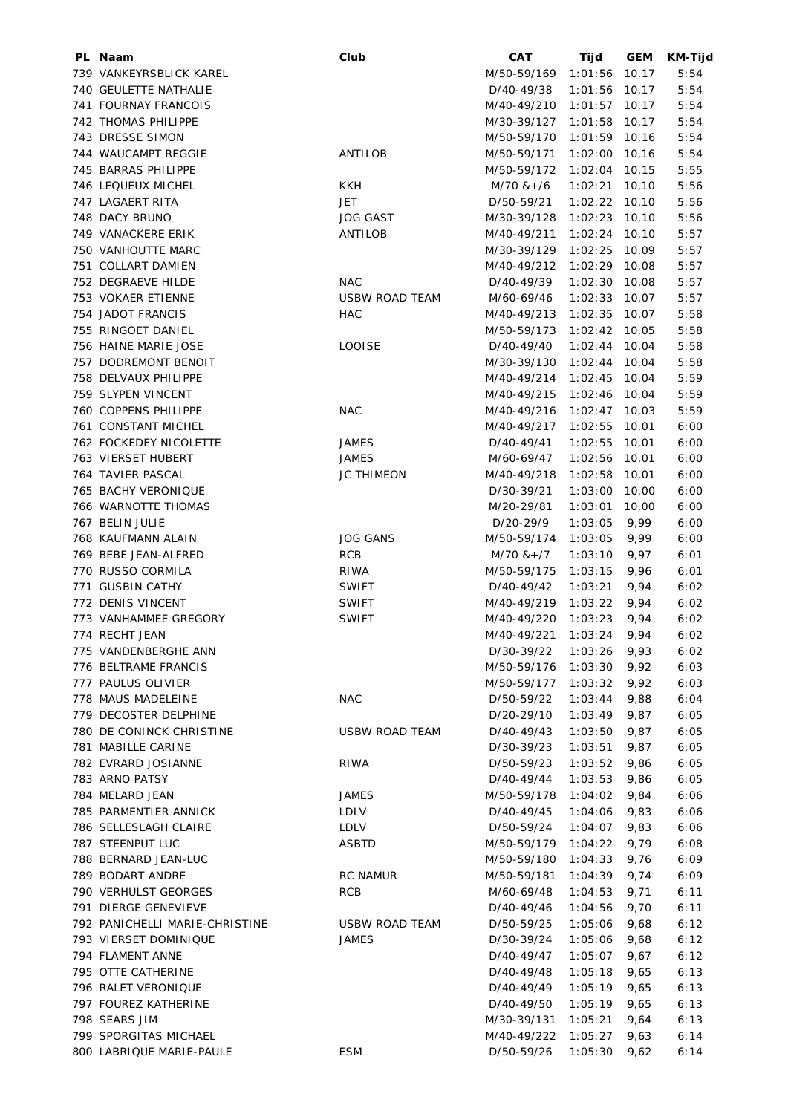| PL Naam                        | Club                  | CAT             | Tijd           | <b>GEM</b> | KM-Tijd |
|--------------------------------|-----------------------|-----------------|----------------|------------|---------|
| 739 VANKEYRSBLICK KAREL        |                       | M/50-59/169     | 1:01:56        | 10, 17     | 5:54    |
| <b>740 GEULETTE NATHALIE</b>   |                       | D/40-49/38      | 1:01:56        | 10,17      | 5:54    |
| 741 FOURNAY FRANCOIS           |                       | M/40-49/210     | 1:01:57        | 10,17      | 5:54    |
| 742 THOMAS PHILIPPE            |                       | M/30-39/127     | 1:01:58        | 10, 17     | 5:54    |
| 743 DRESSE SIMON               |                       | M/50-59/170     | 1:01:59        | 10, 16     | 5:54    |
| 744 WAUCAMPT REGGIE            | ANTILOB               | M/50-59/171     | 1:02:00        | 10,16      | 5:54    |
| 745 BARRAS PHILIPPE            |                       | M/50-59/172     | 1:02:04        | 10, 15     | 5:55    |
| 746 LEQUEUX MICHEL             | <b>KKH</b>            | $M/70$ & +/6    | 1:02:21        | 10,10      | 5:56    |
| 747 LAGAERT RITA               | <b>JET</b>            | D/50-59/21      | 1:02:22        | 10, 10     | 5:56    |
| 748 DACY BRUNO                 | <b>JOG GAST</b>       | M/30-39/128     | 1:02:23        | 10, 10     | 5:56    |
| 749 VANACKERE ERIK             | ANTILOB               | M/40-49/211     | 1:02:24        | 10, 10     | 5:57    |
| 750 VANHOUTTE MARC             |                       | M/30-39/129     | 1:02:25        | 10,09      | 5:57    |
| 751 COLLART DAMIEN             |                       | M/40-49/212     | 1:02:29        | 10,08      | 5:57    |
| 752 DEGRAEVE HILDE             | <b>NAC</b>            | D/40-49/39      | 1:02:30        | 10,08      | 5:57    |
| 753 VOKAER ETIENNE             | <b>USBW ROAD TEAM</b> | M/60-69/46      | 1:02:33        | 10,07      | 5:57    |
| 754 JADOT FRANCIS              | HAC                   | M/40-49/213     | 1:02:35        | 10,07      | 5:58    |
| 755 RINGOET DANIEL             |                       | M/50-59/173     | 1:02:42        | 10,05      | 5:58    |
| 756 HAINE MARIE JOSE           | LOOISE                | D/40-49/40      | 1:02:44        | 10,04      | 5:58    |
| <b>757 DODREMONT BENOIT</b>    |                       | M/30-39/130     | 1:02:44        | 10,04      | 5:58    |
| 758 DELVAUX PHILIPPE           |                       | M/40-49/214     | 1:02:45        | 10,04      | 5:59    |
| 759 SLYPEN VINCENT             |                       | M/40-49/215     | 1:02:46        | 10,04      | 5:59    |
| 760 COPPENS PHILIPPE           | <b>NAC</b>            | M/40-49/216     | 1:02:47        | 10,03      | 5:59    |
| 761 CONSTANT MICHEL            |                       | M/40-49/217     | 1:02:55        | 10,01      | 6:00    |
| 762 FOCKEDEY NICOLETTE         | <b>JAMES</b>          | D/40-49/41      | 1:02:55        | 10,01      | 6:00    |
| 763 VIERSET HUBERT             | <b>JAMES</b>          | M/60-69/47      | 1:02:56        | 10,01      | 6:00    |
| 764 TAVIER PASCAL              | JC THIMEON            | M/40-49/218     | 1:02:58        | 10,01      | 6:00    |
| 765 BACHY VERONIQUE            |                       | D/30-39/21      | 1:03:00        | 10,00      | 6:00    |
| 766 WARNOTTE THOMAS            |                       | M/20-29/81      | 1:03:01        | 10,00      | 6:00    |
| 767 BELIN JULIE                |                       | D/20-29/9       | 1:03:05        | 9,99       | 6:00    |
| 768 KAUFMANN ALAIN             | <b>JOG GANS</b>       | M/50-59/174     | 1:03:05        | 9,99       | 6:00    |
| 769 BEBE JEAN-ALFRED           | <b>RCB</b>            | $M/70$ & + $/7$ | 1:03:10        | 9,97       | 6:01    |
| 770 RUSSO CORMILA              | RIWA                  | M/50-59/175     | 1:03:15        | 9,96       | 6:01    |
| 771 GUSBIN CATHY               | <b>SWIFT</b>          | D/40-49/42      | 1:03:21        | 9,94       | 6:02    |
| 772 DENIS VINCENT              | <b>SWIFT</b>          | M/40-49/219     | 1:03:22        | 9,94       | 6:02    |
| 773 VANHAMMEE GREGORY          | <b>SWIFT</b>          | M/40-49/220     | 1:03:23        | 9,94       | 6:02    |
| 774 RECHT JEAN                 |                       | M/40-49/221     | 1:03:24        | 9,94       | 6:02    |
| 775 VANDENBERGHE ANN           |                       | D/30-39/22      | 1:03:26        | 9,93       | 6:02    |
| 776 BELTRAME FRANCIS           |                       | M/50-59/176     | 1:03:30        | 9,92       | 6:03    |
| 777 PAULUS OLIVIER             |                       | M/50-59/177     | 1:03:32        | 9,92       | 6:03    |
| 778 MAUS MADELEINE             | <b>NAC</b>            | D/50-59/22      | 1:03:44        | 9,88       | 6:04    |
| 779 DECOSTER DELPHINE          |                       | D/20-29/10      | 1:03:49        | 9,87       | 6:05    |
| 780 DE CONINCK CHRISTINE       | <b>USBW ROAD TEAM</b> | D/40-49/43      | 1:03:50        | 9,87       | 6:05    |
| 781 MABILLE CARINE             |                       | D/30-39/23      | 1:03:51        | 9,87       | 6:05    |
| 782 EVRARD JOSIANNE            | <b>RIWA</b>           | D/50-59/23      | 1:03:52        | 9,86       | 6:05    |
| 783 ARNO PATSY                 |                       | D/40-49/44      | 1:03:53        | 9,86       | 6:05    |
| 784 MELARD JEAN                | JAMES                 | M/50-59/178     | 1:04:02        | 9,84       | 6:06    |
| 785 PARMENTIER ANNICK          | LDLV                  | D/40-49/45      | 1:04:06        | 9,83       | 6:06    |
| 786 SELLESLAGH CLAIRE          | LDLV                  | D/50-59/24      | 1:04:07        | 9,83       | 6:06    |
| 787 STEENPUT LUC               | ASBTD                 | M/50-59/179     | 1:04:22        | 9,79       | 6:08    |
| 788 BERNARD JEAN-LUC           |                       | M/50-59/180     | 1:04:33        | 9,76       | 6:09    |
| 789 BODART ANDRE               | <b>RC NAMUR</b>       | M/50-59/181     | 1:04:39        | 9,74       | 6:09    |
| 790 VERHULST GEORGES           | <b>RCB</b>            | M/60-69/48      | 1:04:53        | 9,71       | 6:11    |
| 791 DIERGE GENEVIEVE           |                       | D/40-49/46      | 1:04:56        | 9,70       | 6:11    |
| 792 PANICHELLI MARIE-CHRISTINE | USBW ROAD TEAM        | D/50-59/25      | 1:05:06        | 9,68       | 6:12    |
| 793 VIERSET DOMINIQUE          | <b>JAMES</b>          | D/30-39/24      | 1:05:06        | 9,68       | 6:12    |
| 794 FLAMENT ANNE               |                       | D/40-49/47      | 1:05:07        | 9,67       | 6:12    |
| 795 OTTE CATHERINE             |                       | D/40-49/48      | 1:05:18        | 9,65       | 6:13    |
| 796 RALET VERONIQUE            |                       | D/40-49/49      | 1:05:19        | 9,65       | 6:13    |
| 797 FOUREZ KATHERINE           |                       | D/40-49/50      | 1:05:19        | 9,65       | 6:13    |
| 798 SEARS JIM                  |                       | M/30-39/131     | 1:05:21        | 9,64       | 6:13    |
| 799 SPORGITAS MICHAEL          |                       | M/40-49/222     | 1:05:27        | 9,63       | 6:14    |
| 800 LABRIQUE MARIE-PAULE       | <b>ESM</b>            | D/50-59/26      | $1:05:30$ 9,62 |            | 6:14    |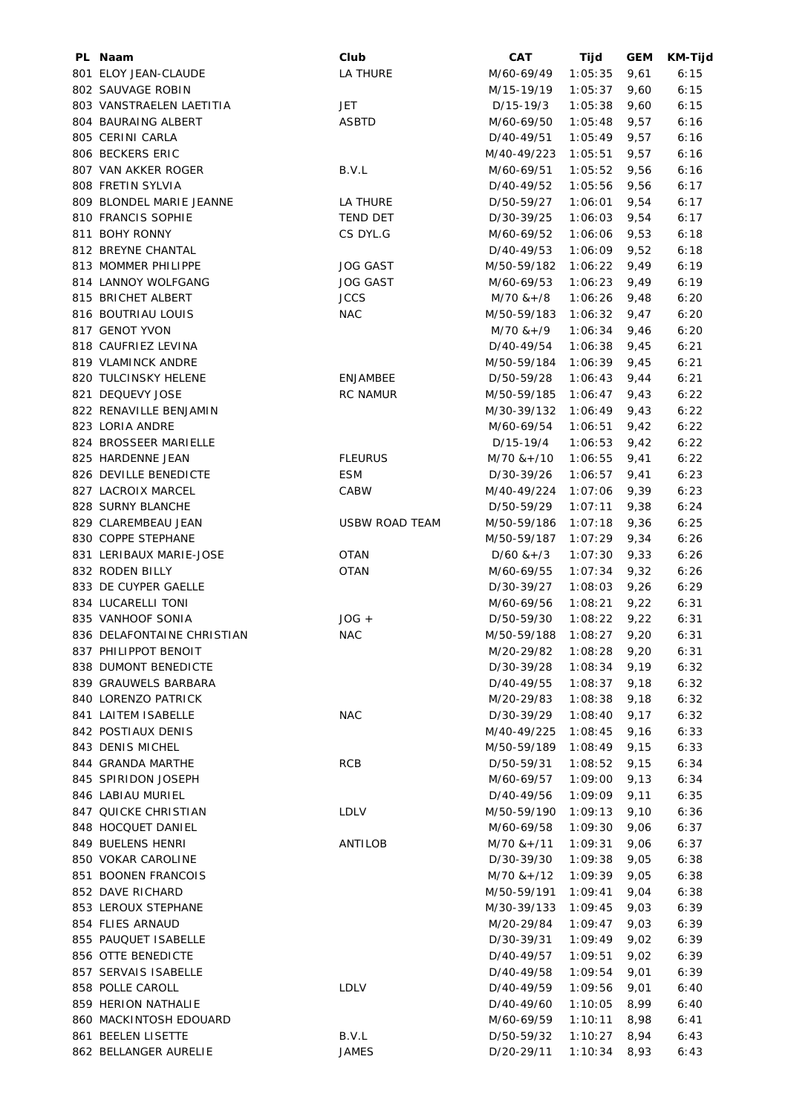| PL Naam                    | Club            | CAT             | Tijd    | <b>GEM</b> | KM-Tijd |
|----------------------------|-----------------|-----------------|---------|------------|---------|
| 801 ELOY JEAN-CLAUDE       | <b>LA THURE</b> | M/60-69/49      | 1:05:35 | 9,61       | 6:15    |
| 802 SAUVAGE ROBIN          |                 | M/15-19/19      | 1:05:37 | 9,60       | 6:15    |
| 803 VANSTRAELEN LAETITIA   | <b>JET</b>      | $D/15-19/3$     | 1:05:38 | 9,60       | 6:15    |
| 804 BAURAING ALBERT        | <b>ASBTD</b>    | M/60-69/50      | 1:05:48 | 9,57       | 6:16    |
| 805 CERINI CARLA           |                 | D/40-49/51      | 1:05:49 | 9,57       | 6:16    |
| 806 BECKERS ERIC           |                 | M/40-49/223     | 1:05:51 | 9,57       | 6:16    |
| 807 VAN AKKER ROGER        | B.V.L           | M/60-69/51      | 1:05:52 | 9,56       | 6:16    |
| 808 FRETIN SYLVIA          |                 | D/40-49/52      | 1:05:56 | 9,56       | 6:17    |
| 809 BLONDEL MARIE JEANNE   | LA THURE        | D/50-59/27      | 1:06:01 | 9,54       | 6:17    |
| 810 FRANCIS SOPHIE         | <b>TEND DET</b> | D/30-39/25      | 1:06:03 | 9,54       | 6:17    |
| 811 BOHY RONNY             | CS DYL.G        | M/60-69/52      | 1:06:06 | 9,53       | 6:18    |
| 812 BREYNE CHANTAL         |                 | D/40-49/53      | 1:06:09 | 9,52       | 6:18    |
| 813 MOMMER PHILIPPE        | <b>JOG GAST</b> | M/50-59/182     | 1:06:22 | 9,49       | 6:19    |
| 814 LANNOY WOLFGANG        | <b>JOG GAST</b> | M/60-69/53      | 1:06:23 | 9,49       | 6:19    |
| 815 BRICHET ALBERT         | <b>JCCS</b>     | $M/70$ & + /8   | 1:06:26 | 9,48       | 6:20    |
| 816 BOUTRIAU LOUIS         | <b>NAC</b>      | M/50-59/183     | 1:06:32 | 9,47       | 6:20    |
| 817 GENOT YVON             |                 | $M/70$ & +/9    | 1:06:34 | 9,46       | 6:20    |
| 818 CAUFRIEZ LEVINA        |                 | D/40-49/54      | 1:06:38 | 9,45       | 6:21    |
| 819 VLAMINCK ANDRE         |                 | M/50-59/184     | 1:06:39 | 9,45       | 6:21    |
| 820 TULCINSKY HELENE       | <b>ENJAMBEE</b> | D/50-59/28      | 1:06:43 | 9,44       | 6:21    |
| 821 DEQUEVY JOSE           | <b>RC NAMUR</b> | M/50-59/185     | 1:06:47 | 9,43       | 6:22    |
| 822 RENAVILLE BENJAMIN     |                 | M/30-39/132     | 1:06:49 | 9,43       |         |
|                            |                 | M/60-69/54      |         |            | 6:22    |
| 823 LORIA ANDRE            |                 |                 | 1:06:51 | 9,42       | 6:22    |
| 824 BROSSEER MARIELLE      |                 | D/15-19/4       | 1:06:53 | 9,42       | 6:22    |
| 825 HARDENNE JEAN          | <b>FLEURUS</b>  | $M/70$ & +/10   | 1:06:55 | 9,41       | 6:22    |
| 826 DEVILLE BENEDICTE      | <b>ESM</b>      | D/30-39/26      | 1:06:57 | 9,41       | 6:23    |
| 827 LACROIX MARCEL         | CABW            | M/40-49/224     | 1:07:06 | 9,39       | 6:23    |
| 828 SURNY BLANCHE          |                 | D/50-59/29      | 1:07:11 | 9,38       | 6:24    |
| 829 CLAREMBEAU JEAN        | USBW ROAD TEAM  | M/50-59/186     | 1:07:18 | 9,36       | 6:25    |
| 830 COPPE STEPHANE         |                 | M/50-59/187     | 1:07:29 | 9,34       | 6:26    |
| 831 LERIBAUX MARIE-JOSE    | <b>OTAN</b>     | $D/60$ & + $/3$ | 1:07:30 | 9,33       | 6:26    |
| 832 RODEN BILLY            | <b>OTAN</b>     | M/60-69/55      | 1:07:34 | 9,32       | 6:26    |
| 833 DE CUYPER GAELLE       |                 | D/30-39/27      | 1:08:03 | 9,26       | 6:29    |
| 834 LUCARELLI TONI         |                 | M/60-69/56      | 1:08:21 | 9,22       | 6:31    |
| 835 VANHOOF SONIA          | $JOG +$         | D/50-59/30      | 1:08:22 | 9,22       | 6:31    |
| 836 DELAFONTAINE CHRISTIAN | <b>NAC</b>      | M/50-59/188     | 1:08:27 | 9,20       | 6:31    |
| 837 PHILIPPOT BENOIT       |                 | M/20-29/82      | 1:08:28 | 9,20       | 6:31    |
| 838 DUMONT BENEDICTE       |                 | D/30-39/28      | 1:08:34 | 9,19       | 6:32    |
| 839 GRAUWELS BARBARA       |                 | D/40-49/55      | 1:08:37 | 9,18       | 6:32    |
| 840 LORENZO PATRICK        |                 | M/20-29/83      | 1:08:38 | 9,18       | 6:32    |
| 841 LAITEM ISABELLE        | <b>NAC</b>      | D/30-39/29      | 1:08:40 | 9,17       | 6:32    |
| 842 POSTIAUX DENIS         |                 | M/40-49/225     | 1:08:45 | 9,16       | 6:33    |
| 843 DENIS MICHEL           |                 | M/50-59/189     | 1:08:49 | 9,15       | 6:33    |
| 844 GRANDA MARTHE          | <b>RCB</b>      | D/50-59/31      | 1:08:52 | 9,15       | 6:34    |
| 845 SPIRIDON JOSEPH        |                 | M/60-69/57      | 1:09:00 | 9,13       | 6:34    |
| 846 LABIAU MURIEL          |                 | D/40-49/56      | 1:09:09 | 9,11       | 6:35    |
| 847 QUICKE CHRISTIAN       | LDLV            | M/50-59/190     | 1:09:13 | 9,10       | 6:36    |
| 848 HOCQUET DANIEL         |                 | M/60-69/58      | 1:09:30 | 9,06       | 6:37    |
| 849 BUELENS HENRI          | ANTILOB         | $M/70$ & +/11   | 1:09:31 | 9,06       | 6:37    |
| 850 VOKAR CAROLINE         |                 | D/30-39/30      | 1:09:38 | 9,05       | 6:38    |
| 851 BOONEN FRANCOIS        |                 | $M/70$ & +/12   | 1:09:39 | 9,05       | 6:38    |
| 852 DAVE RICHARD           |                 | M/50-59/191     | 1:09:41 | 9,04       | 6:38    |
| 853 LEROUX STEPHANE        |                 | M/30-39/133     | 1:09:45 | 9,03       | 6:39    |
| 854 FLIES ARNAUD           |                 | M/20-29/84      | 1:09:47 | 9,03       | 6:39    |
| 855 PAUQUET ISABELLE       |                 | D/30-39/31      | 1:09:49 | 9,02       | 6:39    |
| 856 OTTE BENEDICTE         |                 | D/40-49/57      | 1:09:51 | 9,02       | 6:39    |
| 857 SERVAIS ISABELLE       |                 | D/40-49/58      | 1:09:54 | 9,01       | 6:39    |
| 858 POLLE CAROLL           | <b>LDLV</b>     | D/40-49/59      | 1:09:56 | 9,01       | 6:40    |
| 859 HERION NATHALIE        |                 | D/40-49/60      | 1:10:05 | 8,99       | 6:40    |
| 860 MACKINTOSH EDOUARD     |                 | M/60-69/59      | 1:10:11 | 8,98       | 6:41    |
| 861 BEELEN LISETTE         | B.V.L           | D/50-59/32      | 1:10:27 | 8,94       | 6:43    |
| 862 BELLANGER AURELIE      | <b>JAMES</b>    | D/20-29/11      | 1:10:34 | 8,93       | 6:43    |